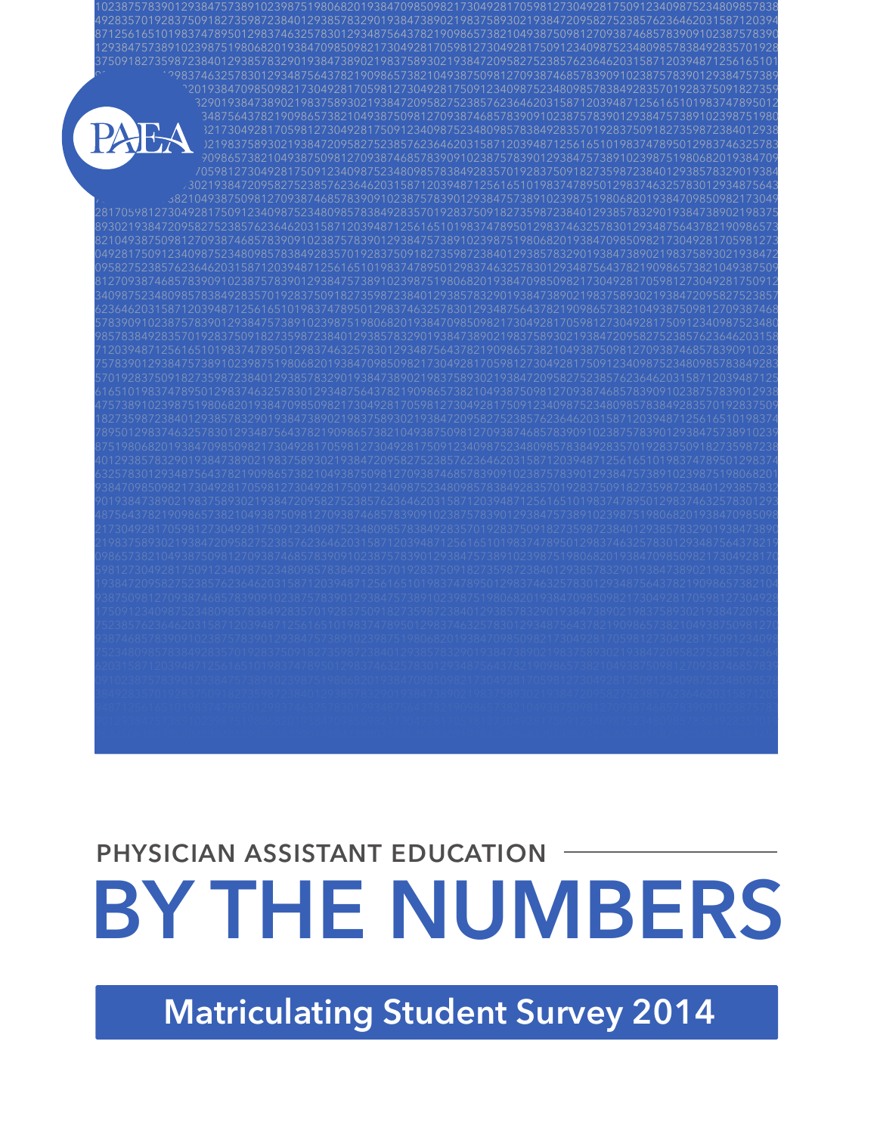## **Matriculating Student Survey 2014**

# **BY THE NUMBERS** PHYSICIAN ASSISTANT EDUCATION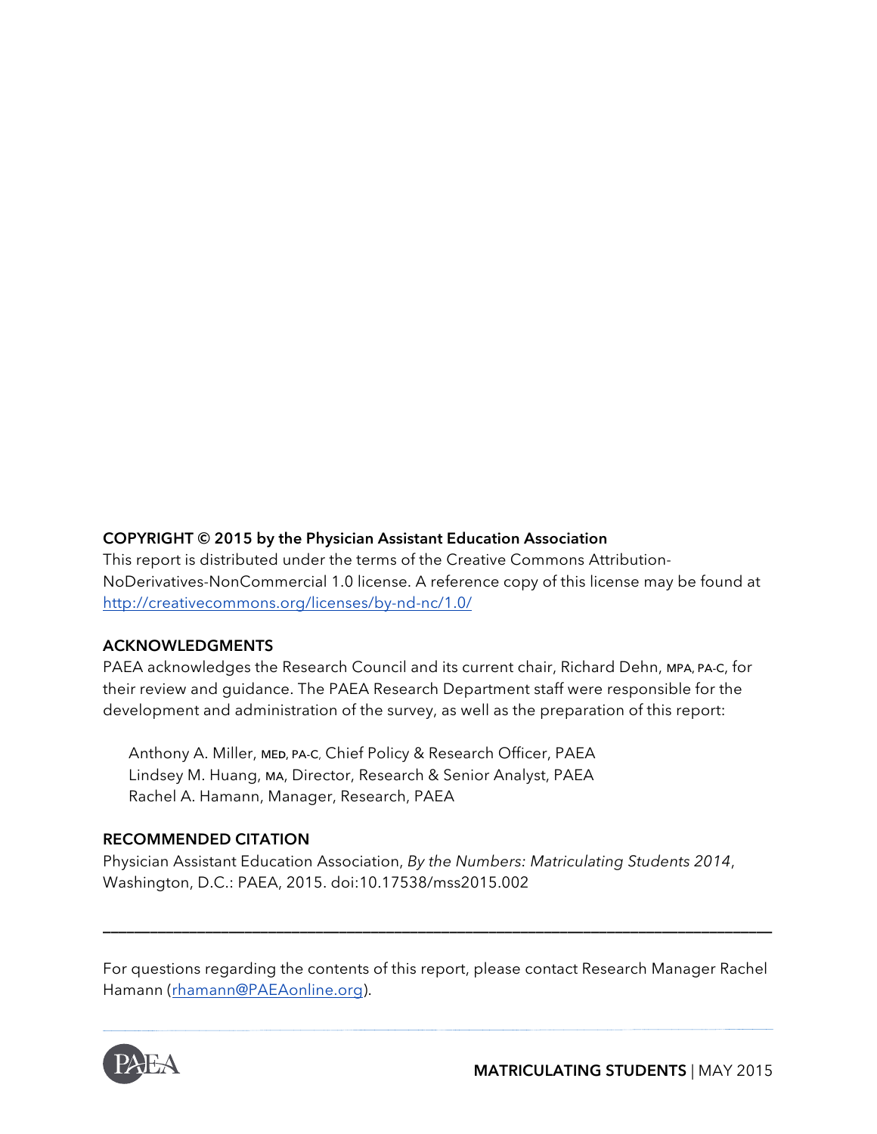#### **COPYRIGHT © 2015 by the Physician Assistant Education Association**

This report is distributed under the terms of the Creative Commons Attribution-NoDerivatives-NonCommercial 1.0 license. A reference copy of this license may be found at http://creativecommons.org/licenses/by-nd-nc/1.0/

#### **ACKNOWLEDGMENTS**

PAEA acknowledges the Research Council and its current chair, Richard Dehn, MPA, PA-C, for their review and guidance. The PAEA Research Department staff were responsible for the development and administration of the survey, as well as the preparation of this report:

Anthony A. Miller, ME**D**, PA-C, Chief Policy & Research Officer, PAEA Lindsey M. Huang, MA, Director, Research & Senior Analyst, PAEA Rachel A. Hamann, Manager, Research, PAEA

#### **RECOMMENDED CITATION**

Physician Assistant Education Association, *By the Numbers: Matriculating Students 2014*, Washington, D.C.: PAEA, 2015. doi:10.17538/mss2015.002

For questions regarding the contents of this report, please contact Research Manager Rachel Hamann (rhamann@PAEAonline.org).

**\_\_\_\_\_\_\_\_\_\_\_\_\_\_\_\_\_\_\_\_\_\_\_\_\_\_\_\_\_\_\_\_\_\_\_\_\_\_\_\_\_\_\_\_\_\_\_\_\_\_\_\_\_\_\_\_\_\_\_\_\_\_\_\_\_\_\_\_\_\_\_\_\_\_\_\_\_\_\_\_\_\_\_\_\_**

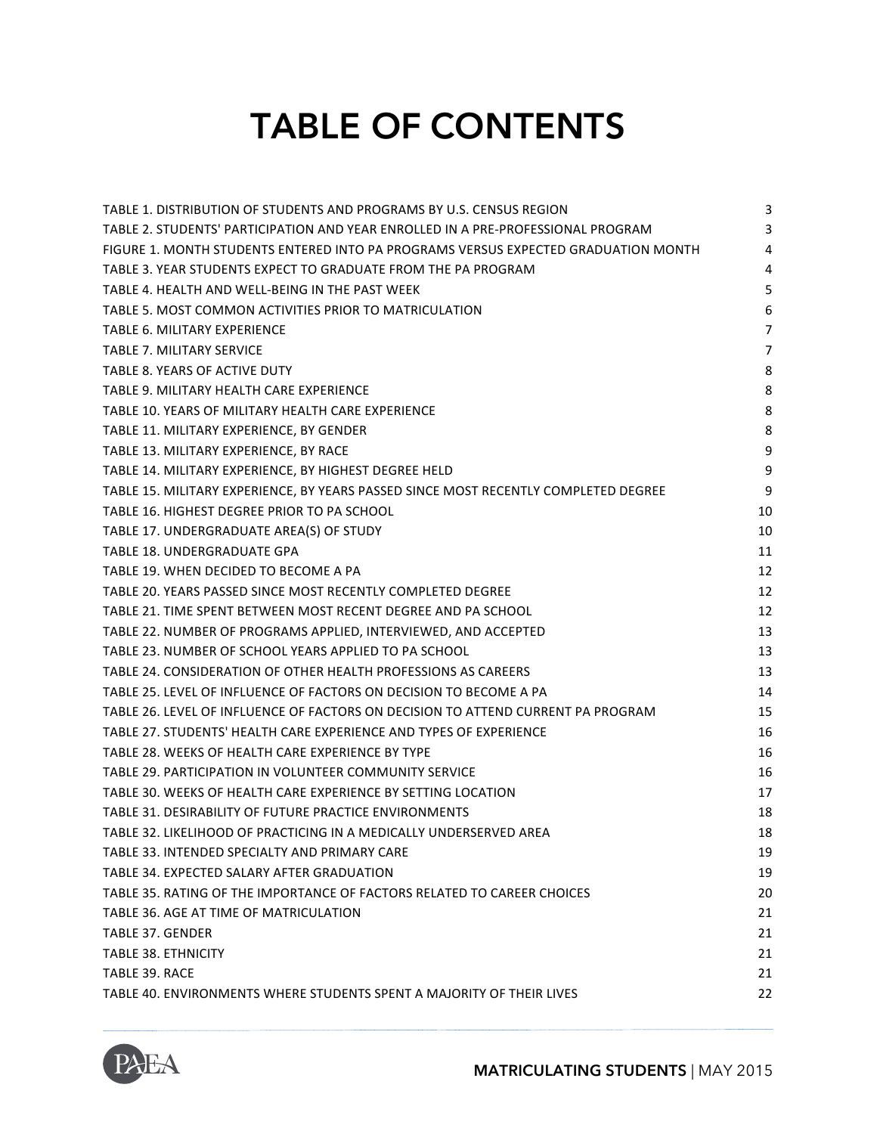## TABLE OF CONTENTS

| TABLE 1. DISTRIBUTION OF STUDENTS AND PROGRAMS BY U.S. CENSUS REGION                | 3              |
|-------------------------------------------------------------------------------------|----------------|
| TABLE 2. STUDENTS' PARTICIPATION AND YEAR ENROLLED IN A PRE-PROFESSIONAL PROGRAM    | 3              |
| FIGURE 1. MONTH STUDENTS ENTERED INTO PA PROGRAMS VERSUS EXPECTED GRADUATION MONTH  | $\overline{4}$ |
| TABLE 3. YEAR STUDENTS EXPECT TO GRADUATE FROM THE PA PROGRAM                       | 4              |
| TABLE 4. HEALTH AND WELL-BEING IN THE PAST WEEK                                     | 5              |
| TABLE 5. MOST COMMON ACTIVITIES PRIOR TO MATRICULATION                              | 6              |
| TABLE 6. MILITARY EXPERIENCE                                                        | $\overline{7}$ |
| <b>TABLE 7. MILITARY SERVICE</b>                                                    | $\overline{7}$ |
| TABLE 8. YEARS OF ACTIVE DUTY                                                       | 8              |
| TABLE 9. MILITARY HEALTH CARE EXPERIENCE                                            | 8              |
| TABLE 10. YEARS OF MILITARY HEALTH CARE EXPERIENCE                                  | 8              |
| TABLE 11. MILITARY EXPERIENCE, BY GENDER                                            | 8              |
| TABLE 13. MILITARY EXPERIENCE, BY RACE                                              | 9              |
| TABLE 14. MILITARY EXPERIENCE, BY HIGHEST DEGREE HELD                               | 9              |
| TABLE 15. MILITARY EXPERIENCE, BY YEARS PASSED SINCE MOST RECENTLY COMPLETED DEGREE | 9              |
| TABLE 16. HIGHEST DEGREE PRIOR TO PA SCHOOL                                         | 10             |
| TABLE 17. UNDERGRADUATE AREA(S) OF STUDY                                            | 10             |
| TABLE 18. UNDERGRADUATE GPA                                                         | 11             |
| TABLE 19. WHEN DECIDED TO BECOME A PA                                               | 12             |
| TABLE 20. YEARS PASSED SINCE MOST RECENTLY COMPLETED DEGREE                         | 12             |
| TABLE 21. TIME SPENT BETWEEN MOST RECENT DEGREE AND PA SCHOOL                       | 12             |
| TABLE 22. NUMBER OF PROGRAMS APPLIED, INTERVIEWED, AND ACCEPTED                     | 13             |
| TABLE 23. NUMBER OF SCHOOL YEARS APPLIED TO PA SCHOOL                               | 13             |
| TABLE 24. CONSIDERATION OF OTHER HEALTH PROFESSIONS AS CAREERS                      | 13             |
| TABLE 25. LEVEL OF INFLUENCE OF FACTORS ON DECISION TO BECOME A PA                  | 14             |
| TABLE 26. LEVEL OF INFLUENCE OF FACTORS ON DECISION TO ATTEND CURRENT PA PROGRAM    | 15             |
| TABLE 27. STUDENTS' HEALTH CARE EXPERIENCE AND TYPES OF EXPERIENCE                  | 16             |
| TABLE 28. WEEKS OF HEALTH CARE EXPERIENCE BY TYPE                                   | 16             |
| TABLE 29. PARTICIPATION IN VOLUNTEER COMMUNITY SERVICE                              | 16             |
| TABLE 30. WEEKS OF HEALTH CARE EXPERIENCE BY SETTING LOCATION                       | 17             |
| TABLE 31. DESIRABILITY OF FUTURE PRACTICE ENVIRONMENTS                              | 18             |
| TABLE 32. LIKELIHOOD OF PRACTICING IN A MEDICALLY UNDERSERVED AREA                  | 18             |
| TABLE 33. INTENDED SPECIALTY AND PRIMARY CARE                                       | 19             |
| TABLE 34. EXPECTED SALARY AFTER GRADUATION                                          | 19             |
| TABLE 35. RATING OF THE IMPORTANCE OF FACTORS RELATED TO CAREER CHOICES             | 20             |
| TABLE 36. AGE AT TIME OF MATRICULATION                                              | 21             |
| <b>TABLE 37. GENDER</b>                                                             | 21             |
| <b>TABLE 38. ETHNICITY</b>                                                          | 21             |
| TABLE 39. RACE                                                                      | 21             |
| TABLE 40. ENVIRONMENTS WHERE STUDENTS SPENT A MAJORITY OF THEIR LIVES               | 22             |
|                                                                                     |                |

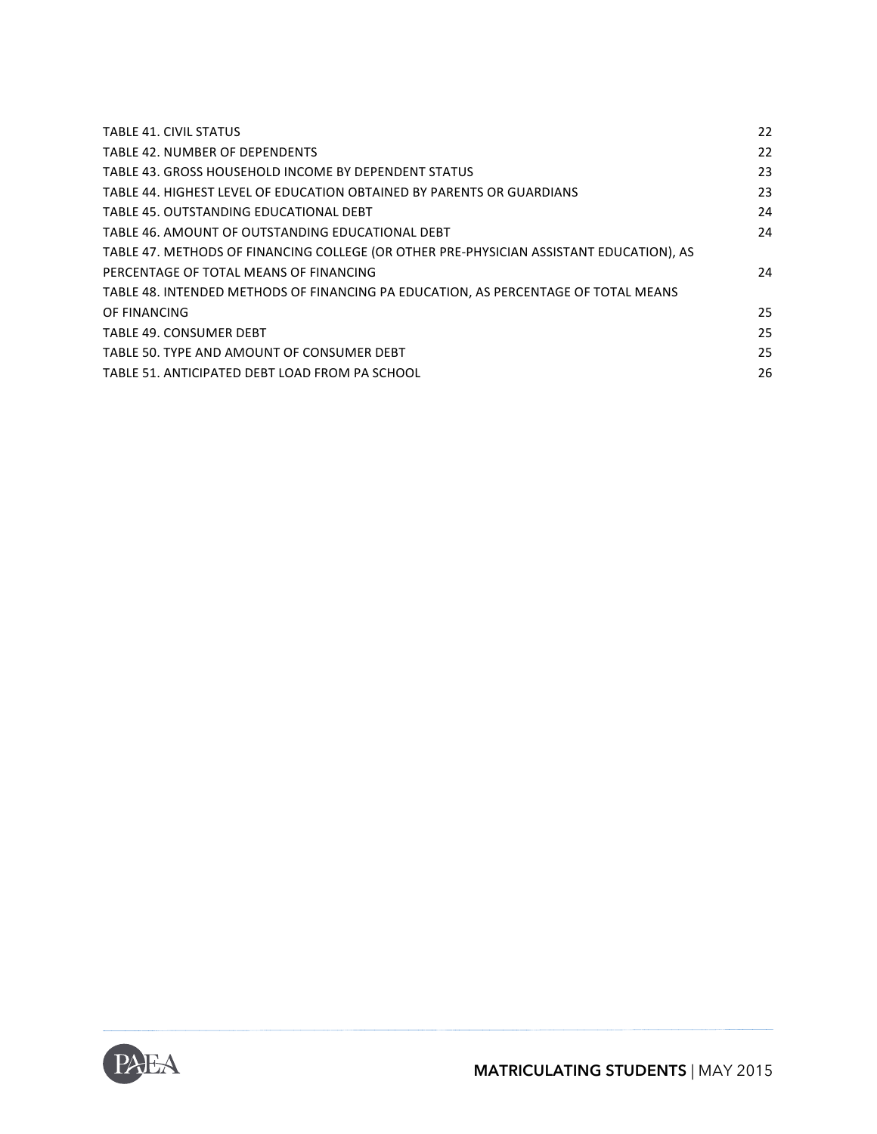| <b>TABLE 41. CIVIL STATUS</b>                                                           | 22 |
|-----------------------------------------------------------------------------------------|----|
| TABLE 42. NUMBER OF DEPENDENTS                                                          | 22 |
| TABLE 43. GROSS HOUSEHOLD INCOME BY DEPENDENT STATUS                                    | 23 |
| TABLE 44. HIGHEST LEVEL OF EDUCATION OBTAINED BY PARENTS OR GUARDIANS                   | 23 |
| TABLE 45. OUTSTANDING EDUCATIONAL DEBT                                                  | 24 |
| TABLE 46. AMOUNT OF OUTSTANDING EDUCATIONAL DEBT                                        | 24 |
| TABLE 47. METHODS OF FINANCING COLLEGE (OR OTHER PRE-PHYSICIAN ASSISTANT EDUCATION), AS |    |
| PERCENTAGE OF TOTAL MEANS OF FINANCING                                                  | 24 |
| TABLE 48. INTENDED METHODS OF FINANCING PA EDUCATION, AS PERCENTAGE OF TOTAL MEANS      |    |
| OF FINANCING                                                                            | 25 |
| <b>TABLE 49. CONSUMER DEBT</b>                                                          | 25 |
| TABLE 50. TYPE AND AMOUNT OF CONSUMER DEBT                                              | 25 |
| TABLE 51. ANTICIPATED DEBT LOAD FROM PA SCHOOL                                          | 26 |
|                                                                                         |    |

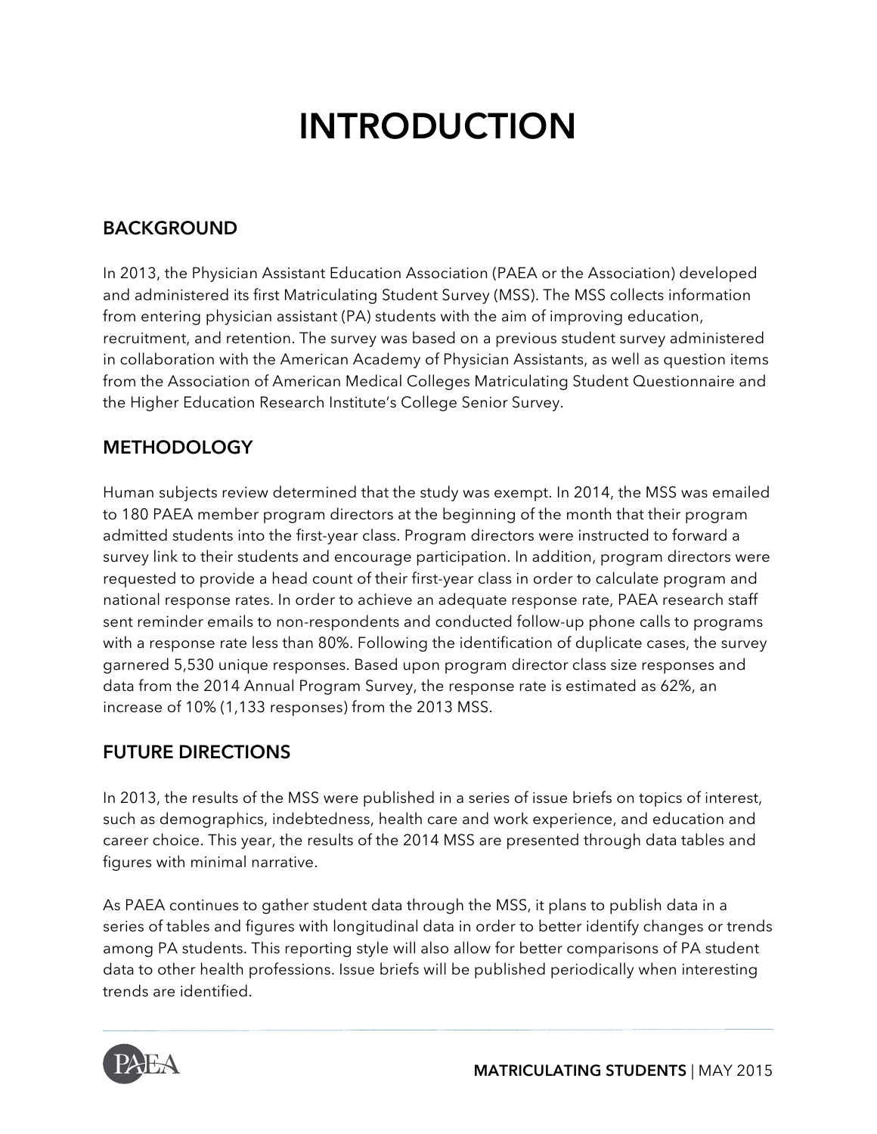## INTRODUCTION

#### **BACKGROUND**

In 2013, the Physician Assistant Education Association (PAEA or the Association) developed and administered its first Matriculating Student Survey (MSS). The MSS collects information from entering physician assistant (PA) students with the aim of improving education, recruitment, and retention. The survey was based on a previous student survey administered in collaboration with the American Academy of Physician Assistants, as well as question items from the Association of American Medical Colleges Matriculating Student Questionnaire and the Higher Education Research Institute's College Senior Survey.

#### **METHODOLOGY**

Human subjects review determined that the study was exempt. In 2014, the MSS was emailed to 180 PAEA member program directors at the beginning of the month that their program admitted students into the first-year class. Program directors were instructed to forward a survey link to their students and encourage participation. In addition, program directors were requested to provide a head count of their first-year class in order to calculate program and national response rates. In order to achieve an adequate response rate, PAEA research staff sent reminder emails to non-respondents and conducted follow-up phone calls to programs with a response rate less than 80%. Following the identification of duplicate cases, the survey garnered 5,530 unique responses. Based upon program director class size responses and data from the 2014 Annual Program Survey, the response rate is estimated as 62%, an increase of 10% (1,133 responses) from the 2013 MSS.

#### **FUTURE DIRECTIONS**

In 2013, the results of the MSS were published in a series of issue briefs on topics of interest, such as demographics, indebtedness, health care and work experience, and education and career choice. This year, the results of the 2014 MSS are presented through data tables and figures with minimal narrative.

As PAEA continues to gather student data through the MSS, it plans to publish data in a series of tables and figures with longitudinal data in order to better identify changes or trends among PA students. This reporting style will also allow for better comparisons of PA student data to other health professions. Issue briefs will be published periodically when interesting trends are identified.

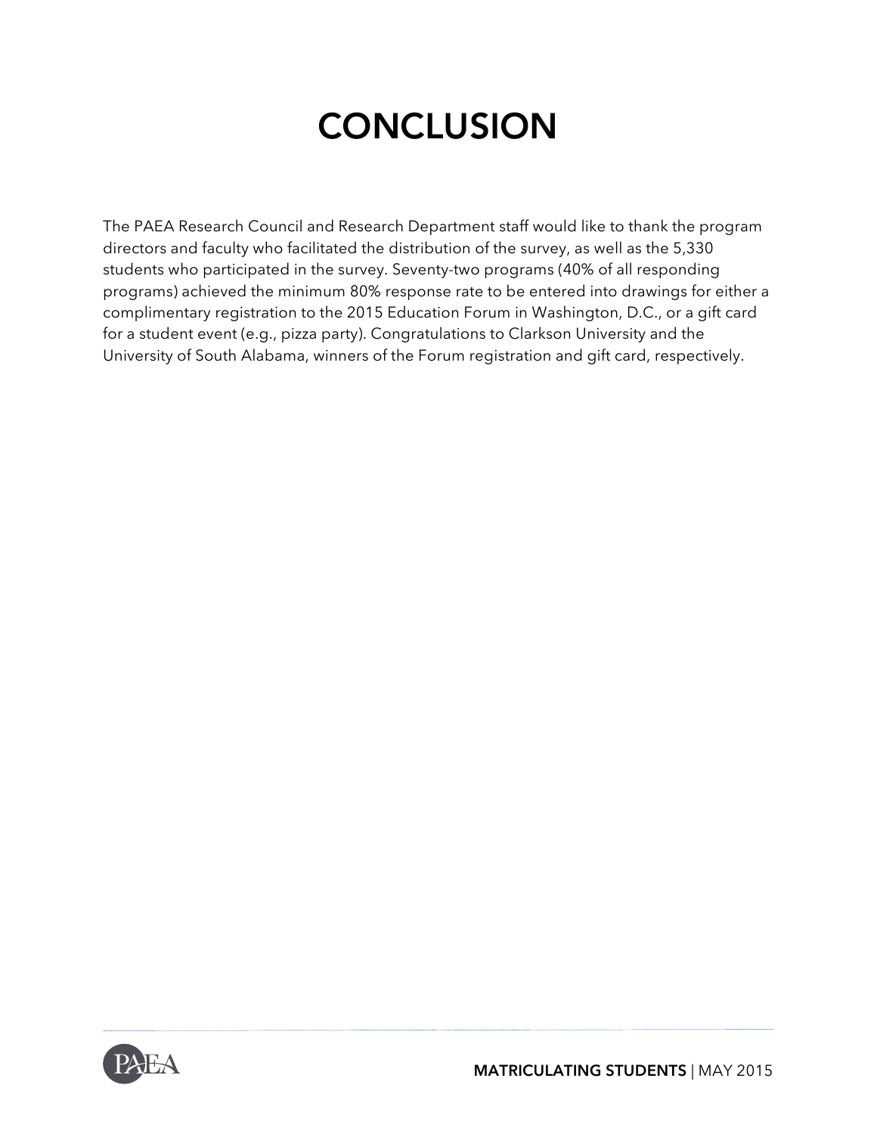## **CONCLUSION**

The PAEA Research Council and Research Department staff would like to thank the program directors and faculty who facilitated the distribution of the survey, as well as the 5,330 students who participated in the survey. Seventy-two programs (40% of all responding programs) achieved the minimum 80% response rate to be entered into drawings for either a complimentary registration to the 2015 Education Forum in Washington, D.C., or a gift card for a student event (e.g., pizza party). Congratulations to Clarkson University and the University of South Alabama, winners of the Forum registration and gift card, respectively.

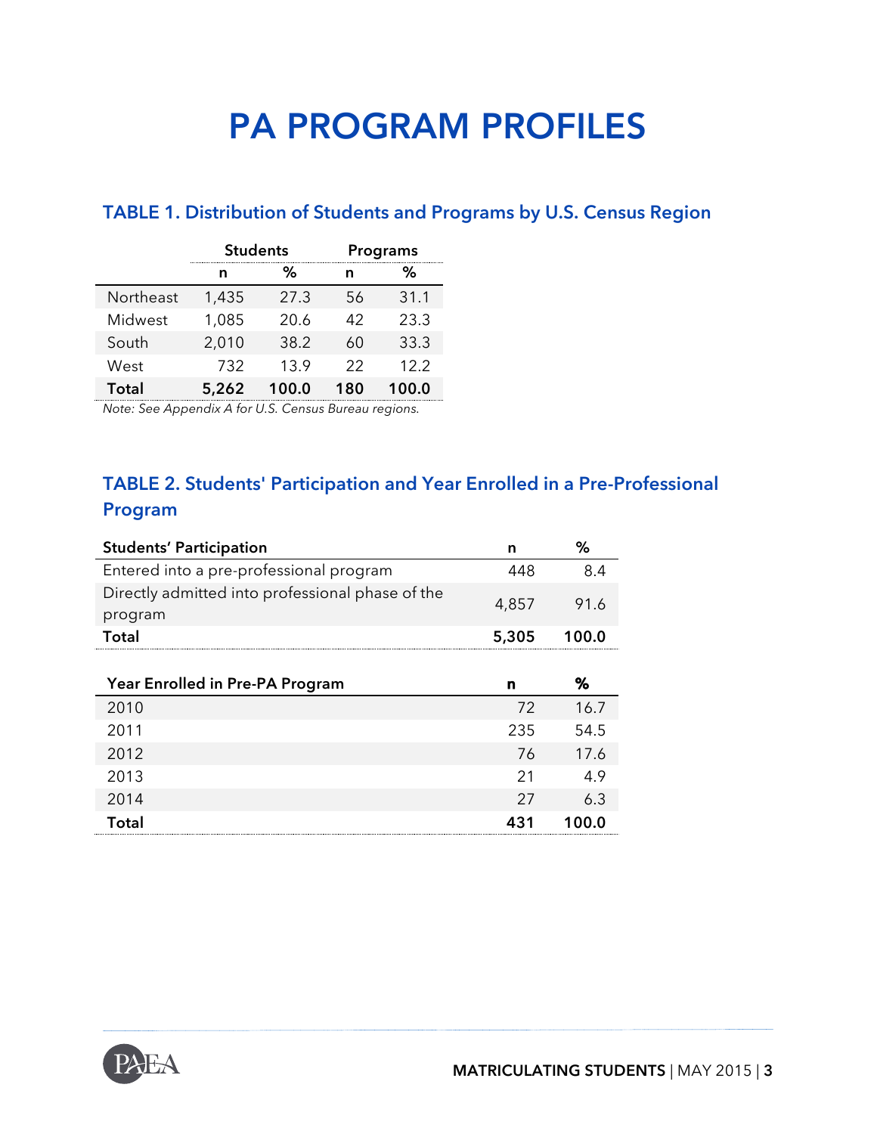## PA PROGRAM PROFILES

#### **TABLE 1. Distribution of Students and Programs by U.S. Census Region**

|           | <b>Students</b> |       |     | Programs |
|-----------|-----------------|-------|-----|----------|
|           | n               | %     | n   | ℅        |
| Northeast | 1,435           | 27.3  | 56  | 31.1     |
| Midwest   | 1,085           | 20.6  | 42  | 23.3     |
| South     | 2,010           | 38.2  | 60  | 33.3     |
| West      | 732             | 13.9  | 22  | 12.2     |
| Total     | 5,262           | 100.0 | 180 | 100.0    |

*Note: See Appendix A for U.S. Census Bureau regions.*

#### **TABLE 2. Students' Participation and Year Enrolled in a Pre-Professional Program**

| <b>Students' Participation</b>                              | n     | ℅     |
|-------------------------------------------------------------|-------|-------|
| Entered into a pre-professional program                     | 448   | 8.4   |
| Directly admitted into professional phase of the<br>program | 4,857 | 91.6  |
| <b>Total</b>                                                | 5,305 | 100.0 |
|                                                             |       |       |
| Year Enrolled in Pre-PA Program                             | n     | %     |
| 2010                                                        | 72    | 16.7  |
| 2011                                                        | 235   | 54.5  |
| 2012                                                        | 76    | 17.6  |
| 2013                                                        | 21    | 4.9   |
| 2014                                                        | 27    | 6.3   |
| <b>Total</b>                                                | 431   | 100.0 |

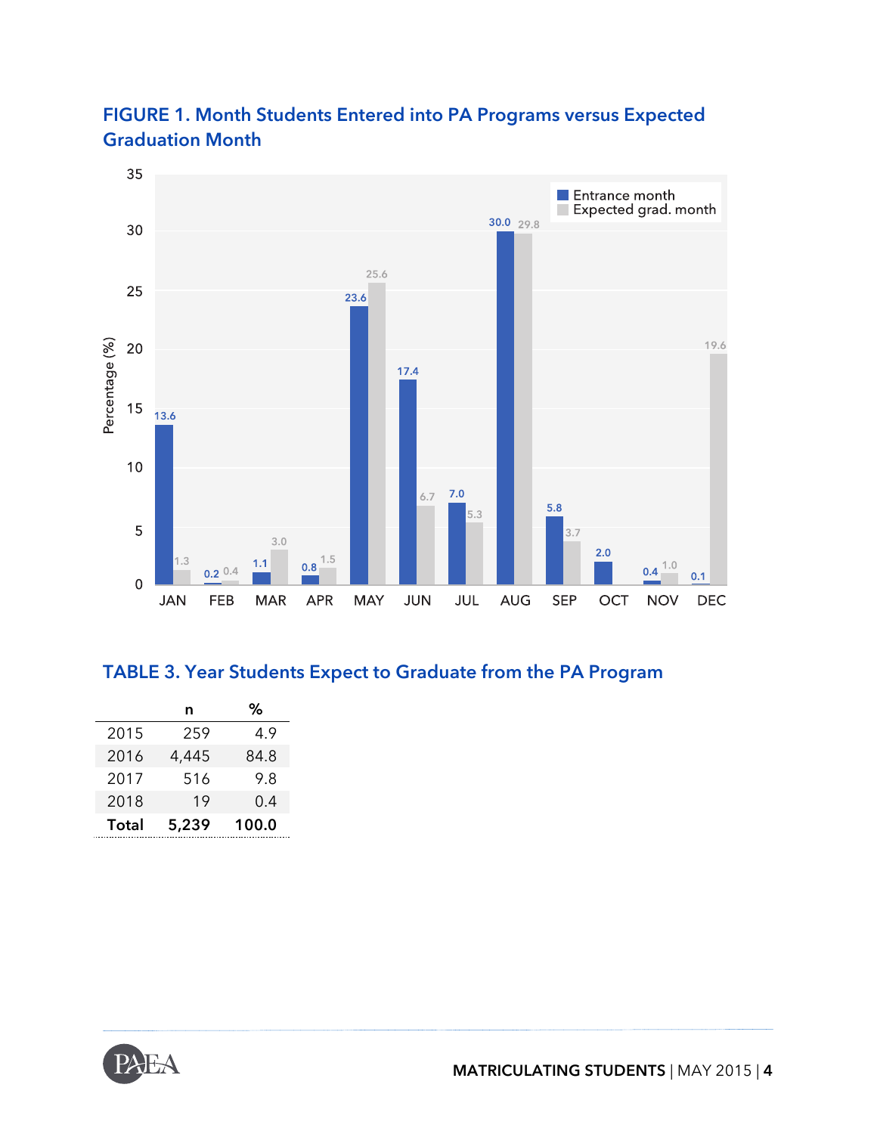



#### **TABLE 3. Year Students Expect to Graduate from the PA Program**

|       | n     |       |
|-------|-------|-------|
| 2015  | 259   | 4.9   |
| 2016  | 4,445 | 84.8  |
| 2017  | 516   | 9.8   |
| 2018  | 19    | 0.4   |
| Total | 5,239 | 100.0 |

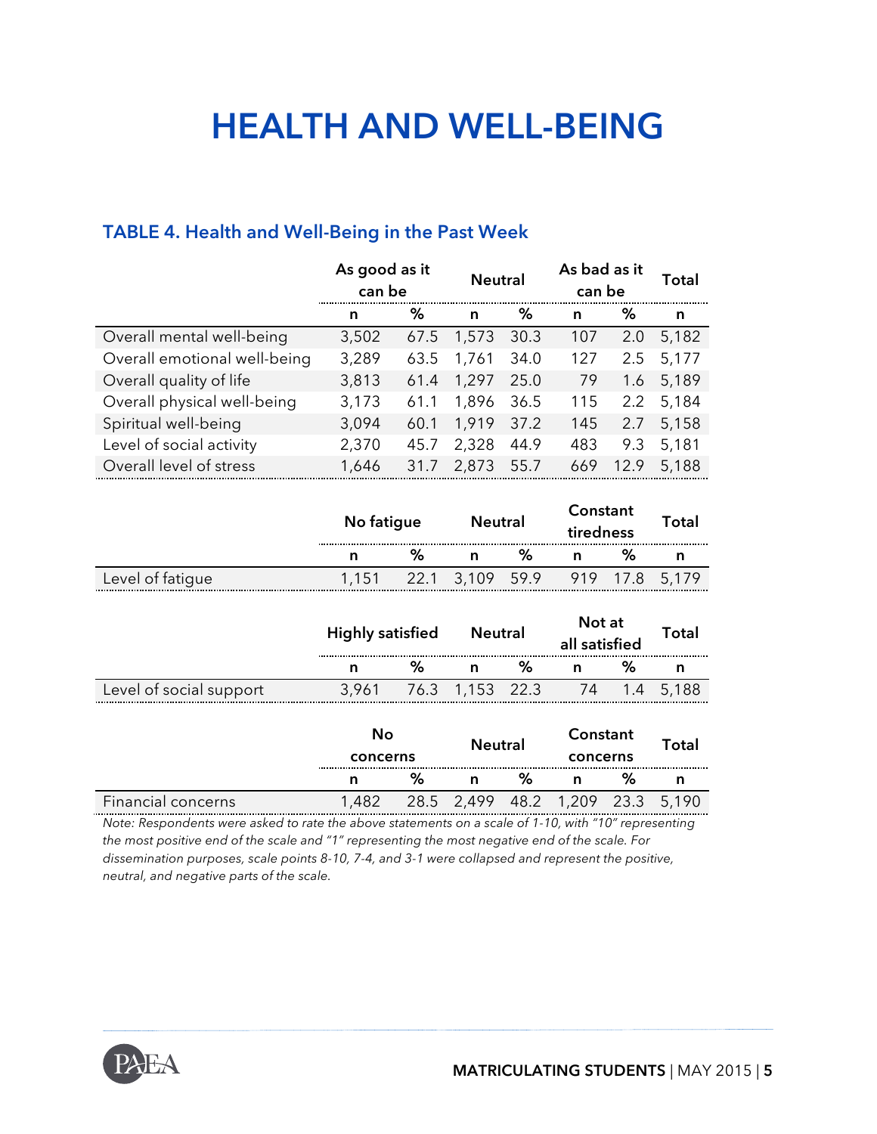## **HEALTH AND WELL-BEING**

#### **TABLE 4. Health and Well-Being in the Past Week**

|                              | As good as it<br>can be |      | <b>Neutral</b> |      | As bad as it<br>can be |               | Total |
|------------------------------|-------------------------|------|----------------|------|------------------------|---------------|-------|
|                              | n                       | %    | n              | %    | n                      | %             | n     |
| Overall mental well-being    | 3,502                   | 67.5 | 1,573          | 30.3 | 107                    | 2.0           | 5,182 |
| Overall emotional well-being | 3,289                   | 63.5 | 1,761          | 34.0 | 127                    | 2.5           | 5,177 |
| Overall quality of life      | 3,813                   | 61.4 | 1,297          | 25.0 | 79                     | 1.6           | 5,189 |
| Overall physical well-being  | 3,173                   | 61.1 | 1,896          | 36.5 | 115                    | $2.2^{\circ}$ | 5,184 |
| Spiritual well-being         | 3,094                   | 60.1 | 1,919          | 37.2 | 145                    | 2.7           | 5,158 |
| Level of social activity     | 2,370                   | 45.7 | 2,328          | 44.9 | 483                    | 9.3           | 5,181 |
| Overall level of stress      | 1,646                   | 31.7 | 2,873          | 55.7 | 669                    | 12.9          | 5,188 |

|                  | No fatigue |       | <b>Neutral</b> | Constant<br>tiredness |          | Total |
|------------------|------------|-------|----------------|-----------------------|----------|-------|
|                  | %          |       | ℅              |                       |          |       |
| Level of fatigue |            | 3,109 | 59.9           |                       | 919 17.8 | 5.179 |

|                         | Not at<br><b>Highly satisfied</b><br><b>Neutral</b><br>all satisfied |   |                 |   |                                  |   |           | Total |
|-------------------------|----------------------------------------------------------------------|---|-----------------|---|----------------------------------|---|-----------|-------|
|                         | n                                                                    | ℅ | n               | % | n                                | % | n         |       |
| Level of social support | 3,961                                                                |   | 76.3 1,153 22.3 |   | 74                               |   | 1.4 5,188 |       |
|                         | No<br>concerns                                                       |   | <b>Neutral</b>  |   | Constant<br>concerns             |   | Total     |       |
|                         | n                                                                    | % | n               | % | n                                | % | n         |       |
| Financial concerns      | 1,482                                                                |   |                 |   | 28.5 2,499 48.2 1,209 23.3 5,190 |   |           |       |

*Note: Respondents were asked to rate the above statements on a scale of 1-10, with "10" representing the most positive end of the scale and "1" representing the most negative end of the scale. For dissemination purposes, scale points 8-10, 7-4, and 3-1 were collapsed and represent the positive, neutral, and negative parts of the scale.*

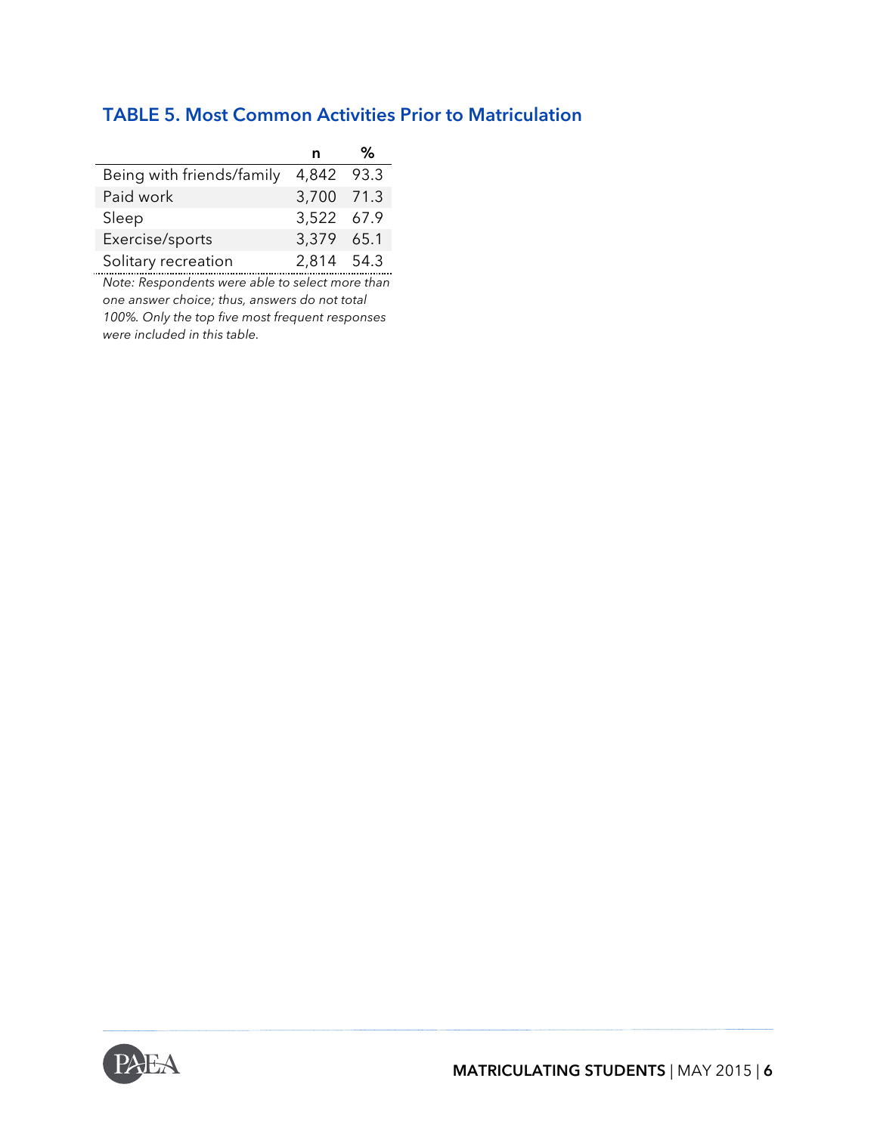|  | <b>TABLE 5. Most Common Activities Prior to Matriculation</b> |  |  |  |  |
|--|---------------------------------------------------------------|--|--|--|--|
|--|---------------------------------------------------------------|--|--|--|--|

|                           | n          | ℅    |
|---------------------------|------------|------|
| Being with friends/family | 4,842      | 93.3 |
| Paid work                 | 3,700 71.3 |      |
| Sleep                     | 3,522 67.9 |      |
| Exercise/sports           | 3,379 65.1 |      |
| Solitary recreation       | 2,814 54.3 |      |

*Note: Respondents were able to select more than one answer choice; thus, answers do not total 100%. Only the top five most frequent responses were included in this table.* 

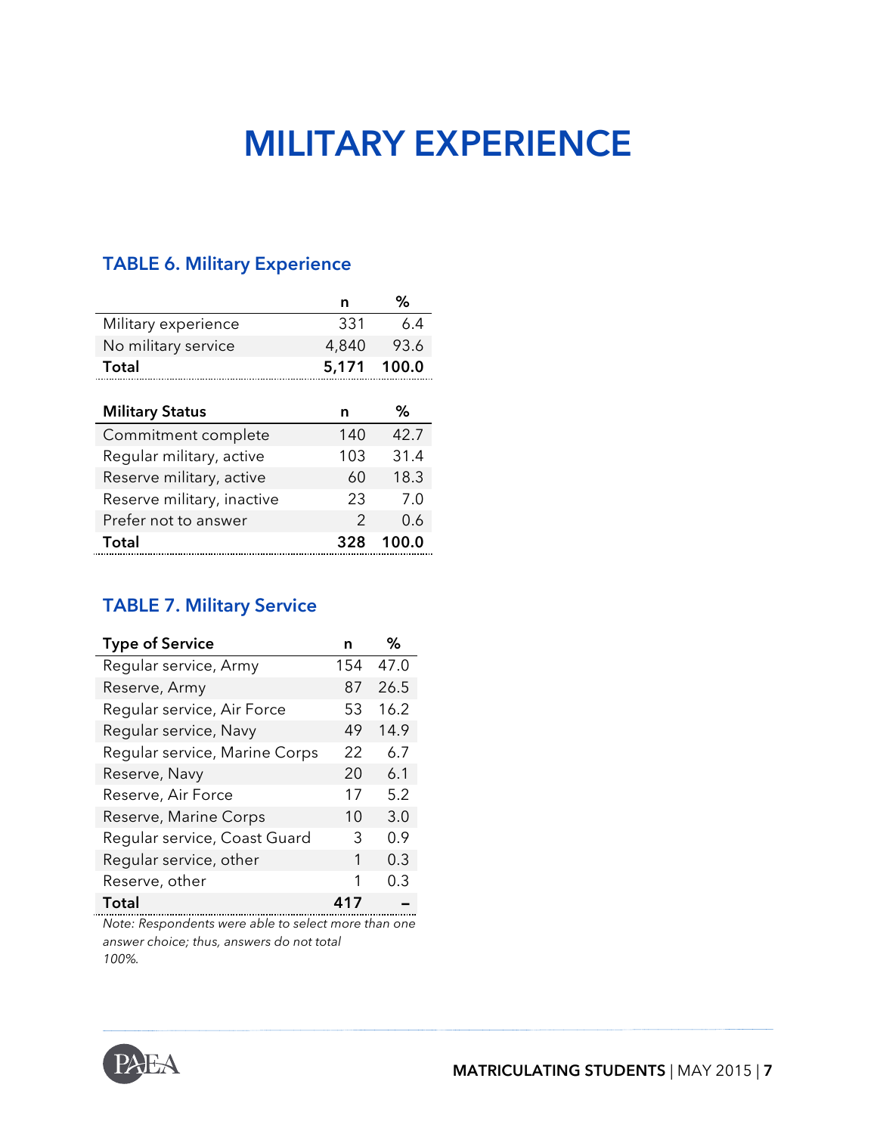## **MILITARY EXPERIENCE**

#### **TABLE 6. Military Experience**

|                            | n     | %     |
|----------------------------|-------|-------|
| Military experience        | 331   | 6.4   |
| No military service        | 4,840 | 93.6  |
| Total                      | 5,171 | 100.0 |
|                            |       |       |
| <b>Military Status</b>     | n     | ℅     |
| Commitment complete        | 140   | 42.7  |
| Regular military, active   | 103   | 31.4  |
| Reserve military, active   | 60    | 18.3  |
| Reserve military, inactive | 23    | 7.0   |
| Prefer not to answer       | 2     | 0.6   |
| Total                      | 328   | 100.0 |

#### **TABLE 7. Military Service**

| <b>Type of Service</b>        |     | %    |
|-------------------------------|-----|------|
| Regular service, Army         | 154 | 47.0 |
| Reserve, Army                 | 87  | 26.5 |
| Regular service, Air Force    | 53  | 16.2 |
| Regular service, Navy         | 49  | 14.9 |
| Regular service, Marine Corps | 22  | 6.7  |
| Reserve, Navy                 | 20  | 6.1  |
| Reserve, Air Force            | 17  | 5.2  |
| Reserve, Marine Corps         | 10  | 3.0  |
| Regular service, Coast Guard  | 3   | 0.9  |
| Regular service, other        | 1   | 0.3  |
| Reserve, other                | 1   | 0.3  |
| <b>Total</b>                  | 417 |      |

*Note: Respondents were able to select more than one answer choice; thus, answers do not total 100%.*

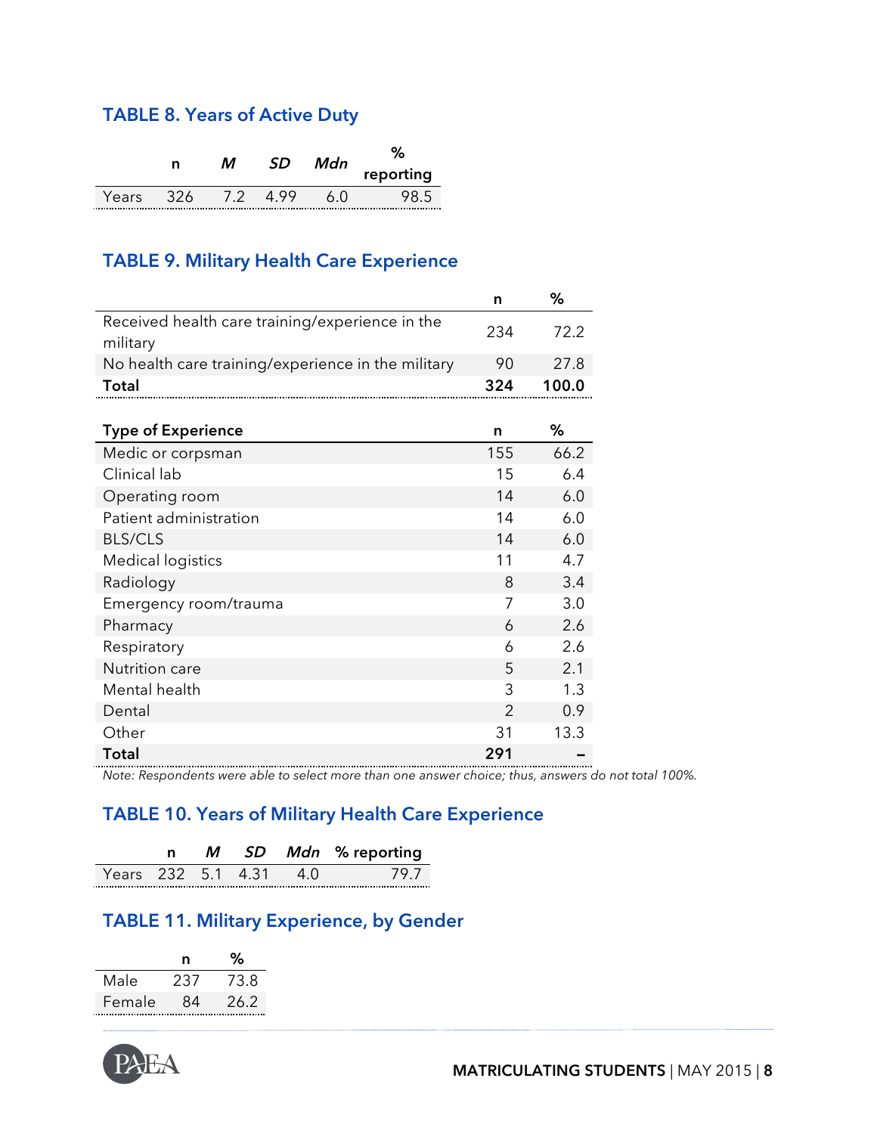#### **TABLE 8. Years of Active Duty**

|       | n    | м     | מז   | Mdn |           |  |
|-------|------|-------|------|-----|-----------|--|
|       |      |       |      |     | reporting |  |
| Years | -326 | $-72$ | 4 99 |     |           |  |

#### **TABLE 9. Military Health Care Experience**

|                                                             | n              | %     |
|-------------------------------------------------------------|----------------|-------|
| Received health care training/experience in the<br>military | 234            | 72.2  |
| No health care training/experience in the military          | 90             | 27.8  |
| <b>Total</b>                                                | 324            | 100.0 |
|                                                             |                |       |
| <b>Type of Experience</b>                                   | n              | %     |
| Medic or corpsman                                           | 155            | 66.2  |
| Clinical lab                                                | 15             | 6.4   |
| Operating room                                              | 14             | 6.0   |
| Patient administration                                      | 14             | 6.0   |
| <b>BLS/CLS</b>                                              | 14             | 6.0   |
| <b>Medical logistics</b>                                    | 11             | 4.7   |
| Radiology                                                   | 8              | 3.4   |
| Emergency room/trauma                                       | 7              | 3.0   |
| Pharmacy                                                    | 6              | 2.6   |
| Respiratory                                                 | 6              | 2.6   |
| Nutrition care                                              | 5              | 2.1   |
| Mental health                                               | 3              | 1.3   |
| Dental                                                      | $\overline{2}$ | 0.9   |
| Other                                                       | 31             | 13.3  |
| <b>Total</b>                                                | 291            |       |

*Note: Respondents were able to select more than one answer choice; thus, answers do not total 100%.*

#### **TABLE 10. Years of Military Health Care Experience**

|                    |  |  | SD Mdn % reporting |  |
|--------------------|--|--|--------------------|--|
| Years 232 5.1 4.31 |  |  |                    |  |

#### **TABLE 11. Military Experience, by Gender**

|        | n   | ્ર∿  |
|--------|-----|------|
| Male   | 237 | 73.8 |
| Female | 84  | 26.2 |

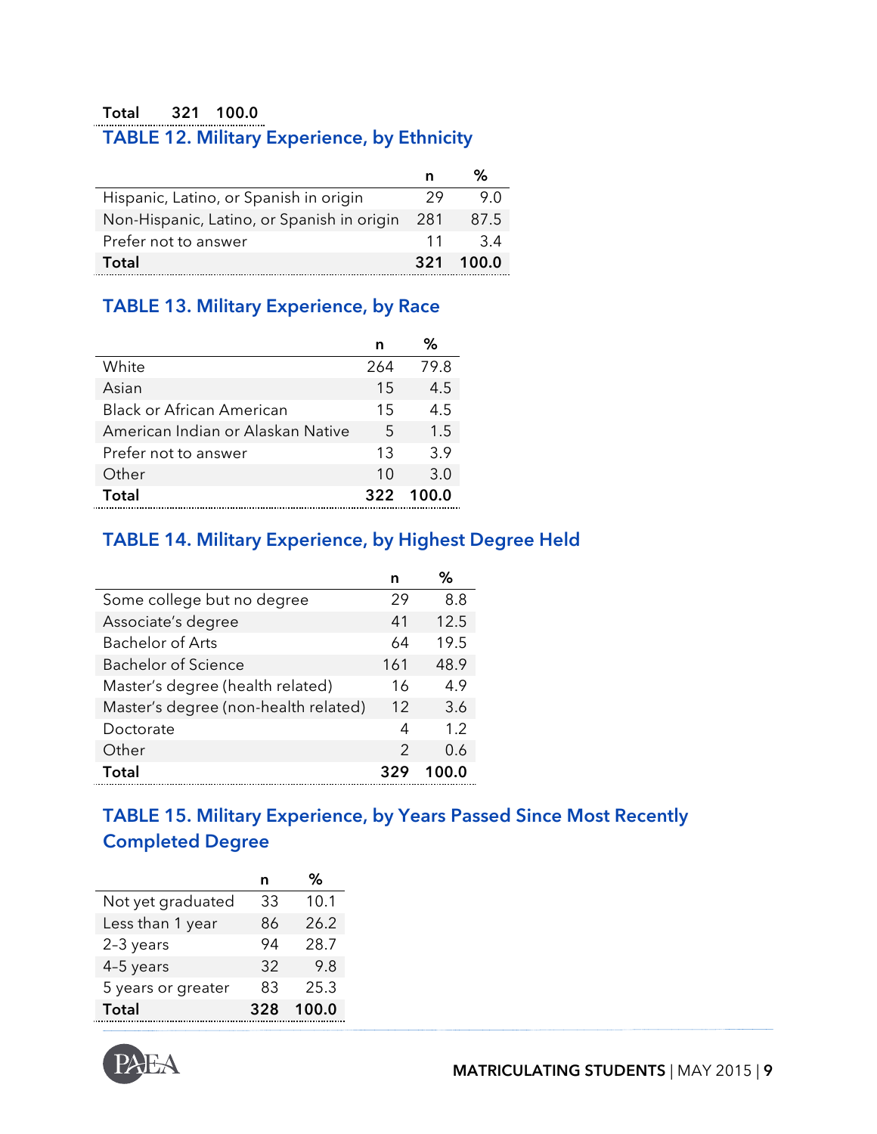### **Total 321 100.0**

## **TABLE 12. Military Experience, by Ethnicity**

|                                            | n   | ℅     |
|--------------------------------------------|-----|-------|
| Hispanic, Latino, or Spanish in origin     | 29  | 9 N   |
| Non-Hispanic, Latino, or Spanish in origin | 281 | 87.5  |
| Prefer not to answer                       | 11  | -34   |
| Total                                      | 321 | 100.0 |

#### **TABLE 13. Military Experience, by Race**

|                                   | n   |       |
|-----------------------------------|-----|-------|
| White                             | 264 | 79.8  |
| Asian                             | 15  | 4.5   |
| <b>Black or African American</b>  | 15  | 4.5   |
| American Indian or Alaskan Native | 5   | 1.5   |
| Prefer not to answer              | 13  | 3.9   |
| Other                             | 10  | 3.0   |
| Total                             | 322 | 100.0 |

#### **TABLE 14. Military Experience, by Highest Degree Held**

|                                      | n   | ℅    |
|--------------------------------------|-----|------|
| Some college but no degree           | 29  | 8.8  |
| Associate's degree                   | 41  | 12.5 |
| <b>Bachelor of Arts</b>              | 64  | 19.5 |
| Bachelor of Science                  | 161 | 48.9 |
| Master's degree (health related)     | 16  | 4.9  |
| Master's degree (non-health related) | 12  | 3.6  |
| Doctorate                            | 4   | 1.2  |
| Other                                | 2   | 0.6  |
| Total                                |     |      |

#### **TABLE 15. Military Experience, by Years Passed Since Most Recently Completed Degree**

|                    | n   | %     |
|--------------------|-----|-------|
| Not yet graduated  | 33  | 10.1  |
| Less than 1 year   | 86  | 26.2  |
| 2-3 years          | 94  | 28.7  |
| 4-5 years          | 32  | 9.8   |
| 5 years or greater | 83  | 25.3  |
| <b>Total</b>       | 328 | 100.0 |

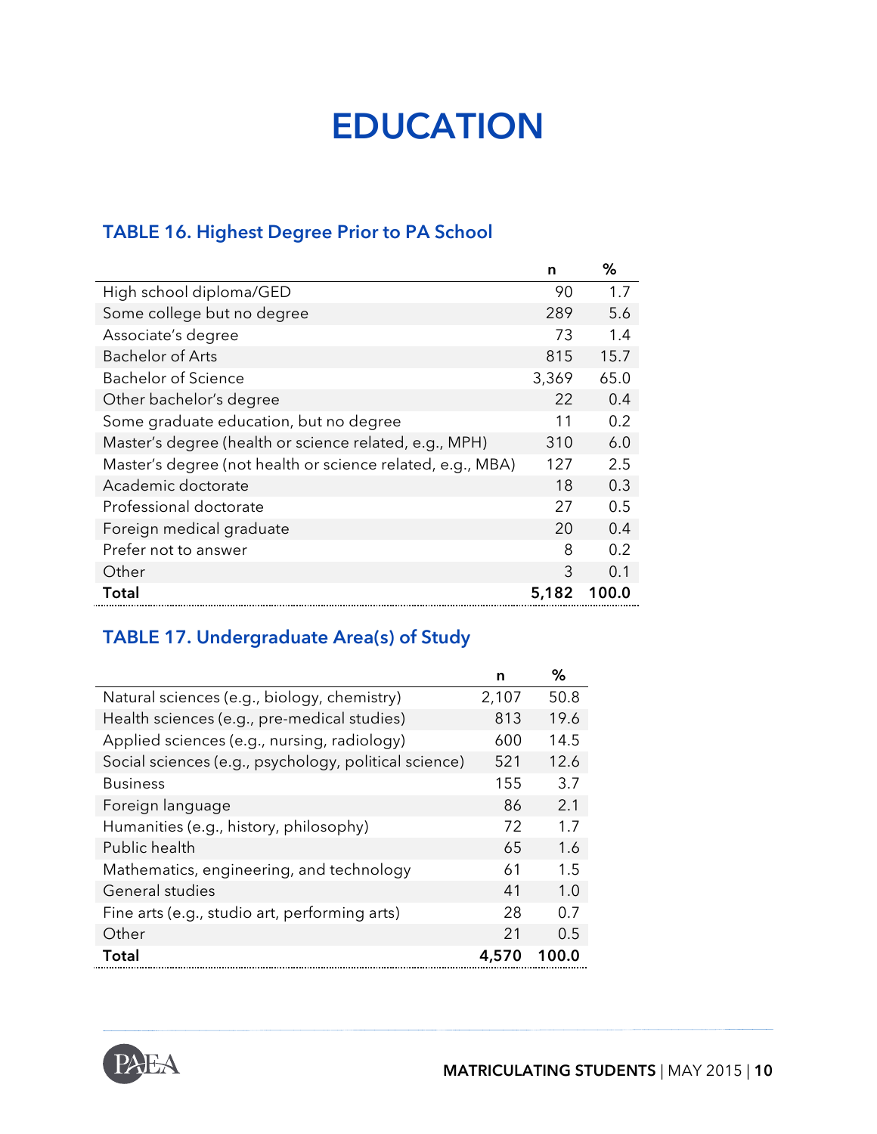## **EDUCATION**

### **TABLE 16. Highest Degree Prior to PA School**

|                                                            | n     | ℅     |
|------------------------------------------------------------|-------|-------|
| High school diploma/GED                                    | 90    | 1.7   |
| Some college but no degree                                 | 289   | 5.6   |
| Associate's degree                                         | 73    | 1.4   |
| <b>Bachelor of Arts</b>                                    | 815   | 15.7  |
| <b>Bachelor of Science</b>                                 | 3,369 | 65.0  |
| Other bachelor's degree                                    | 22    | 0.4   |
| Some graduate education, but no degree                     | 11    | 0.2   |
| Master's degree (health or science related, e.g., MPH)     | 310   | 6.0   |
| Master's degree (not health or science related, e.g., MBA) | 127   | 2.5   |
| Academic doctorate                                         | 18    | 0.3   |
| Professional doctorate                                     | 27    | 0.5   |
| Foreign medical graduate                                   | 20    | 0.4   |
| Prefer not to answer                                       | 8     | 0.2   |
| Other                                                      | 3     | 0.1   |
| Total                                                      | 5,182 | 100.0 |

### **TABLE 17. Undergraduate Area(s) of Study**

|                                                       | n     | ℅     |
|-------------------------------------------------------|-------|-------|
| Natural sciences (e.g., biology, chemistry)           | 2,107 | 50.8  |
| Health sciences (e.g., pre-medical studies)           | 813   | 19.6  |
| Applied sciences (e.g., nursing, radiology)           | 600   | 14.5  |
| Social sciences (e.g., psychology, political science) | 521   | 12.6  |
| <b>Business</b>                                       | 155   | 3.7   |
| Foreign language                                      | 86    | 2.1   |
| Humanities (e.g., history, philosophy)                | 72    | 1.7   |
| Public health                                         | 65    | 1.6   |
| Mathematics, engineering, and technology              | 61    | 1.5   |
| General studies                                       | 41    | 1.0   |
| Fine arts (e.g., studio art, performing arts)         | 28    | 0.7   |
| Other                                                 | 21    | 0.5   |
| Total                                                 | 4.570 | 100.0 |

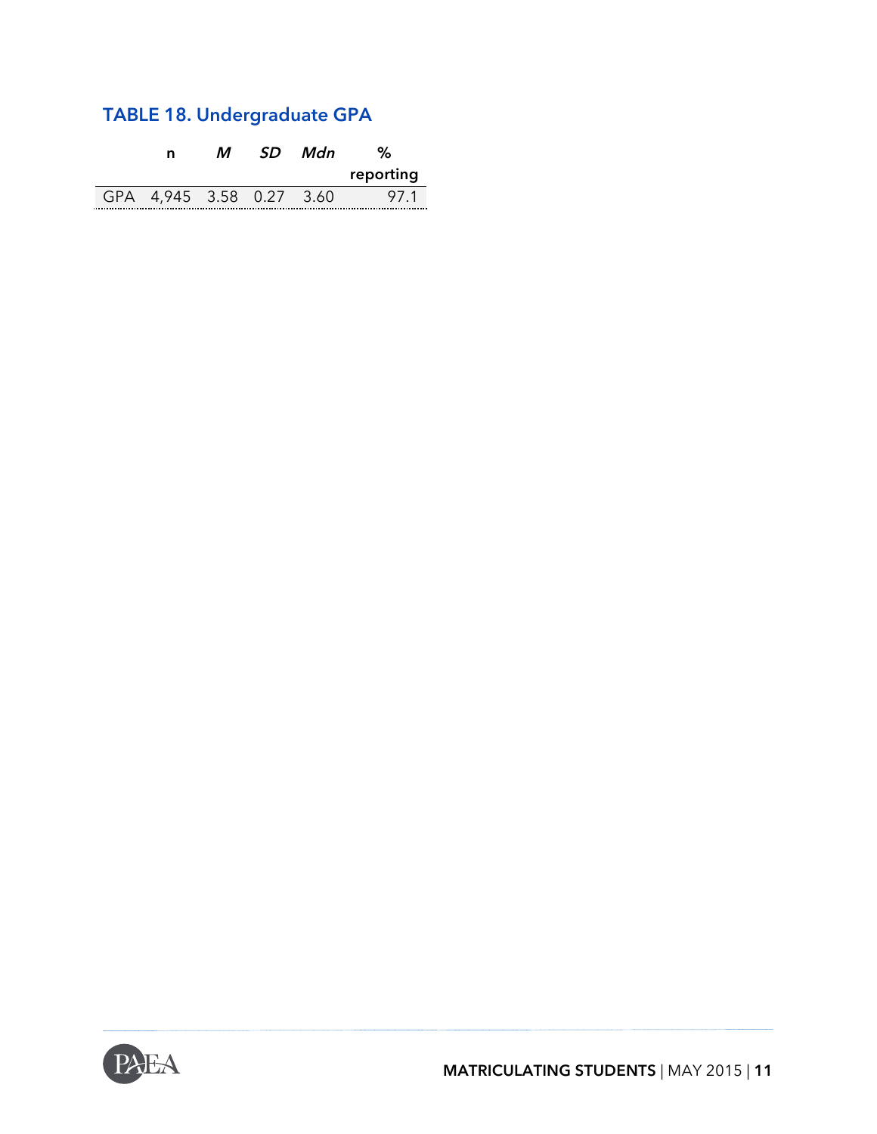### **TABLE 18. Undergraduate GPA**

| n                    | 5О | Mdn |           |  |
|----------------------|----|-----|-----------|--|
|                      |    |     | reporting |  |
| 4,945 3.58 0.27 3.60 |    |     | 971       |  |

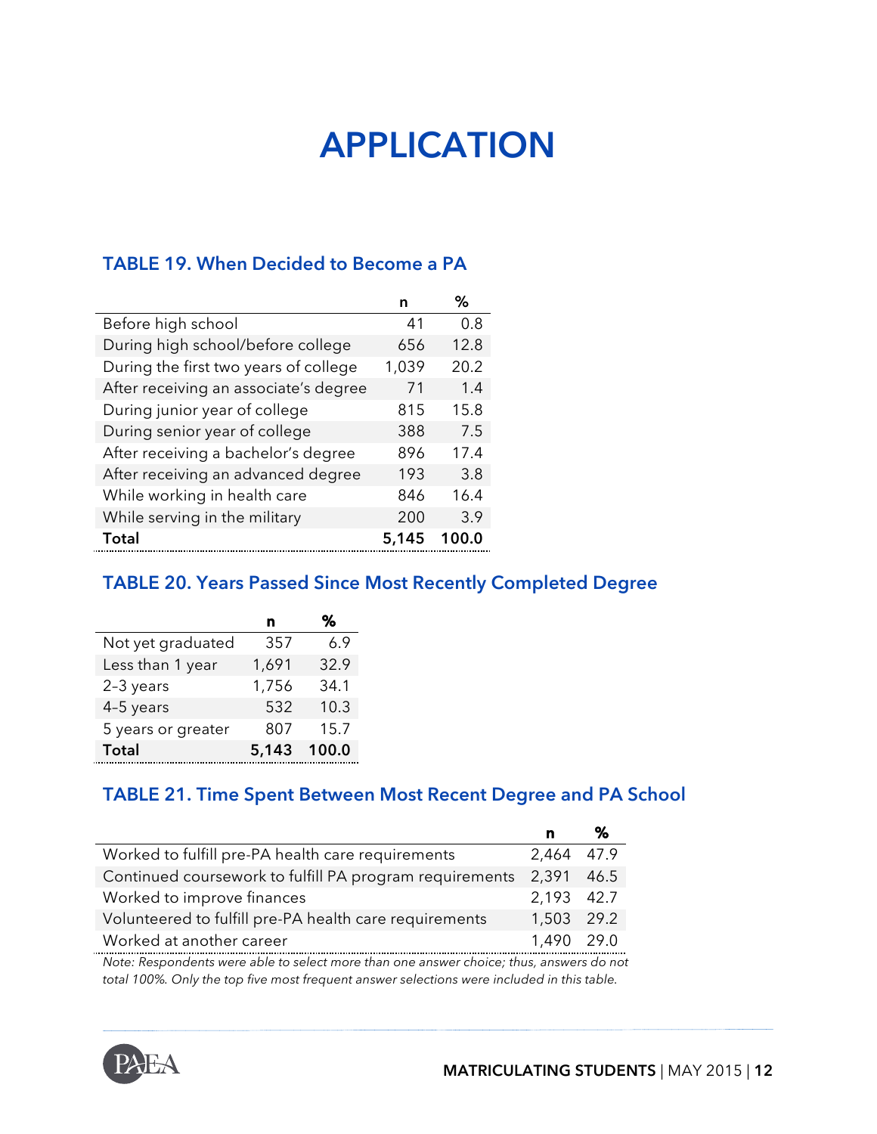## **APPLICATION**

#### **TABLE 19. When Decided to Become a PA**

|                                       |       | ℅     |
|---------------------------------------|-------|-------|
| Before high school                    | 41    | 0.8   |
| During high school/before college     | 656   | 12.8  |
| During the first two years of college | 1,039 | 20.2  |
| After receiving an associate's degree | 71    | 1.4   |
| During junior year of college         | 815   | 15.8  |
| During senior year of college         | 388   | 7.5   |
| After receiving a bachelor's degree   | 896   | 17.4  |
| After receiving an advanced degree    | 193   | 3.8   |
| While working in health care          | 846   | 16.4  |
| While serving in the military         | 200   | 3.9   |
| Total                                 | 5.145 | 100.0 |

#### **TABLE 20. Years Passed Since Most Recently Completed Degree**

|                    | n     | ℅     |
|--------------------|-------|-------|
| Not yet graduated  | 357   | 6.9   |
| Less than 1 year   | 1,691 | 32.9  |
| 2-3 years          | 1,756 | 34.1  |
| 4-5 years          | 532   | 10.3  |
| 5 years or greater | 807   | 15.7  |
| <b>Total</b>       | 5,143 | 100.0 |

#### **TABLE 21. Time Spent Between Most Recent Degree and PA School**

|                                                         | n          |  |
|---------------------------------------------------------|------------|--|
| Worked to fulfill pre-PA health care requirements       | 2,464 47.9 |  |
| Continued coursework to fulfill PA program requirements | 2,391 46.5 |  |
| Worked to improve finances                              | 2,193 42.7 |  |
| Volunteered to fulfill pre-PA health care requirements  | 1,503 29.2 |  |
| Worked at another career                                | 1.490 29.0 |  |
|                                                         |            |  |

*Note: Respondents were able to select more than one answer choice; thus, answers do not total 100%. Only the top five most frequent answer selections were included in this table.* 

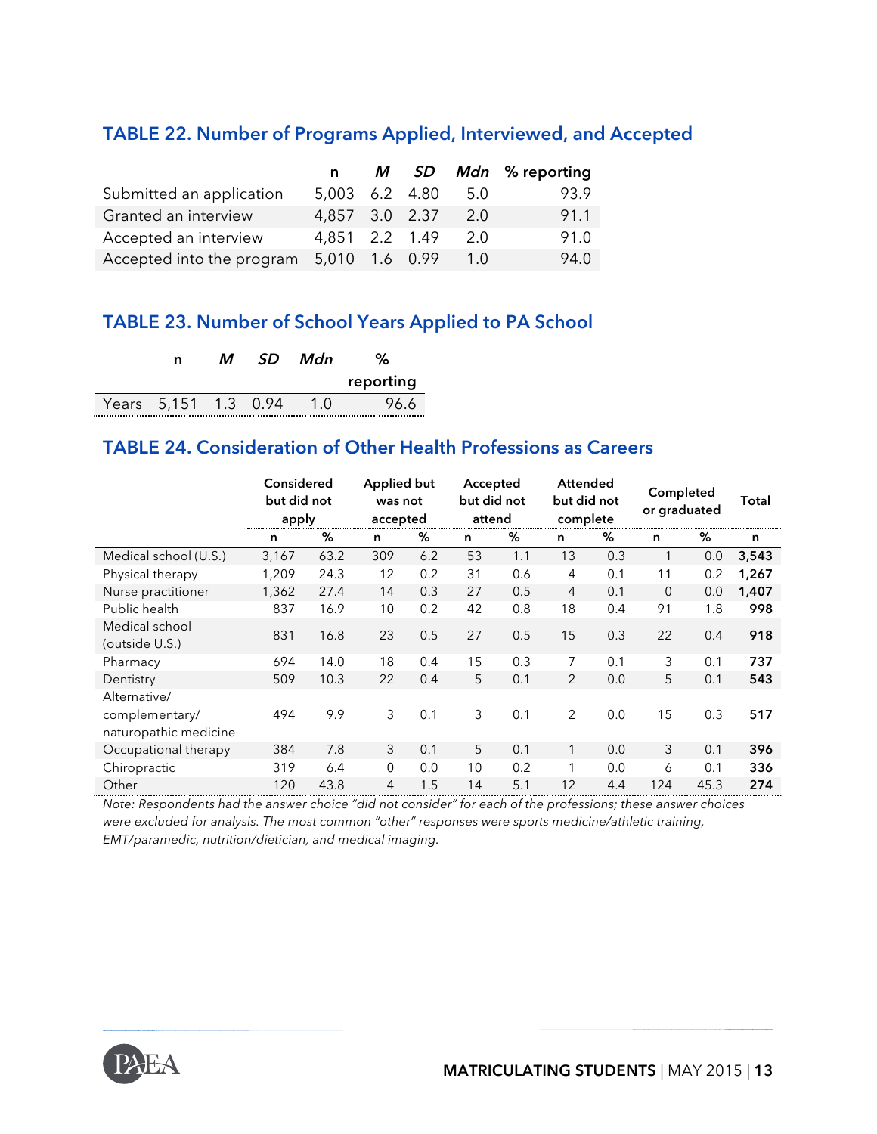#### **TABLE 22. Number of Programs Applied, Interviewed, and Accepted**

|                                          | n.             |  |        | M SD Mdn % reporting |
|------------------------------------------|----------------|--|--------|----------------------|
| Submitted an application                 | 5,003 6.2 4.80 |  | 5.0    | 93.9                 |
| Granted an interview                     | 4,857 3.0 2.37 |  | 2.0    | 91.1                 |
| Accepted an interview                    | 4.851 2.2 1.49 |  | 2.0    | 91.0                 |
| Accepted into the program 5,010 1.6 0.99 |                |  | $-1.0$ | 94.0                 |

#### **TABLE 23. Number of School Years Applied to PA School**

| n                    | М | - SD | Mdn | %         |
|----------------------|---|------|-----|-----------|
|                      |   |      |     | reporting |
| Years 5,151 1.3 0.94 |   |      | 1 O | 96.6      |

#### **TABLE 24. Consideration of Other Health Professions as Careers**

|                                                         | Considered<br>but did not<br>apply |      | Applied but<br>was not<br>accepted |     | Accepted<br>but did not<br>attend |     | <b>Attended</b><br>but did not<br>complete |     | Completed<br>or graduated |      | Total |
|---------------------------------------------------------|------------------------------------|------|------------------------------------|-----|-----------------------------------|-----|--------------------------------------------|-----|---------------------------|------|-------|
|                                                         | n                                  | ℅    | n                                  | %   | n                                 | ℅   | n                                          | %   | n                         | %    | n     |
| Medical school (U.S.)                                   | 3,167                              | 63.2 | 309                                | 6.2 | 53                                | 1.1 | 13                                         | 0.3 | 1                         | 0.0  | 3,543 |
| Physical therapy                                        | 1,209                              | 24.3 | 12                                 | 0.2 | 31                                | 0.6 | 4                                          | 0.1 | 11                        | 0.2  | 1,267 |
| Nurse practitioner                                      | 1,362                              | 27.4 | 14                                 | 0.3 | 27                                | 0.5 | $\overline{4}$                             | 0.1 | $\overline{0}$            | 0.0  | 1,407 |
| Public health                                           | 837                                | 16.9 | 10                                 | 0.2 | 42                                | 0.8 | 18                                         | 0.4 | 91                        | 1.8  | 998   |
| Medical school<br>(outside U.S.)                        | 831                                | 16.8 | 23                                 | 0.5 | 27                                | 0.5 | 15                                         | 0.3 | 22                        | 0.4  | 918   |
| Pharmacy                                                | 694                                | 14.0 | 18                                 | 0.4 | 15                                | 0.3 | 7                                          | 0.1 | 3                         | 0.1  | 737   |
| Dentistry                                               | 509                                | 10.3 | 22                                 | 0.4 | 5                                 | 0.1 | 2                                          | 0.0 | 5                         | 0.1  | 543   |
| Alternative/<br>complementary/<br>naturopathic medicine | 494                                | 9.9  | 3                                  | 0.1 | 3                                 | 0.1 | 2                                          | 0.0 | 15                        | 0.3  | 517   |
| Occupational therapy                                    | 384                                | 7.8  | 3                                  | 0.1 | 5                                 | 0.1 | 1                                          | 0.0 | 3                         | 0.1  | 396   |
| Chiropractic                                            | 319                                | 6.4  | $\Omega$                           | 0.0 | 10                                | 0.2 | 1                                          | 0.0 | 6                         | 0.1  | 336   |
| Other                                                   | 120                                | 43.8 | $\overline{4}$                     | 1.5 | 14                                | 5.1 | 12                                         | 4.4 | 124                       | 45.3 | 274   |

*Note: Respondents had the answer choice "did not consider" for each of the professions; these answer choices were excluded for analysis. The most common "other" responses were sports medicine/athletic training, EMT/paramedic, nutrition/dietician, and medical imaging.* 

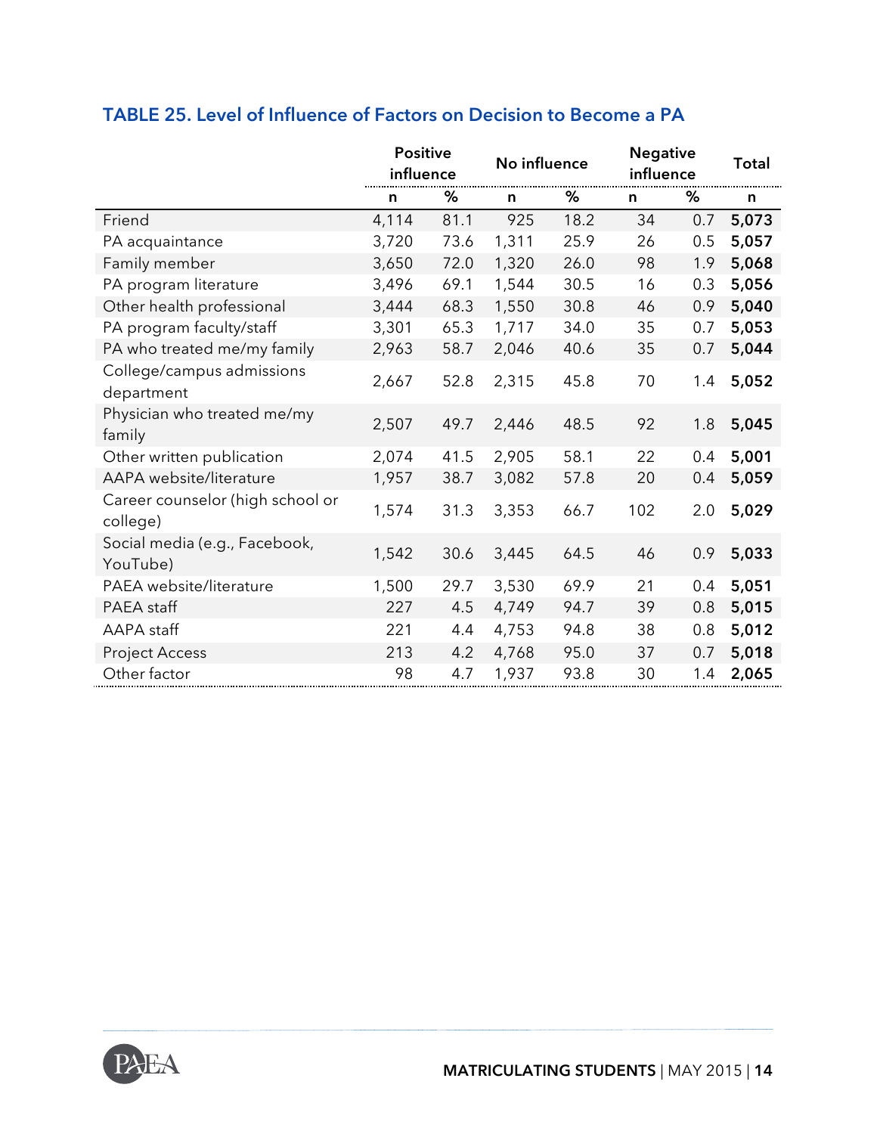|                                              | <b>Positive</b><br>influence |      | No influence |      | <b>Negative</b><br>influence |     | <b>Total</b> |
|----------------------------------------------|------------------------------|------|--------------|------|------------------------------|-----|--------------|
|                                              | n                            | %    | n            | ℅    | n                            | ℅   | n            |
| Friend                                       | 4,114                        | 81.1 | 925          | 18.2 | 34                           | 0.7 | 5,073        |
| PA acquaintance                              | 3,720                        | 73.6 | 1,311        | 25.9 | 26                           | 0.5 | 5,057        |
| Family member                                | 3,650                        | 72.0 | 1,320        | 26.0 | 98                           | 1.9 | 5,068        |
| PA program literature                        | 3,496                        | 69.1 | 1,544        | 30.5 | 16                           | 0.3 | 5,056        |
| Other health professional                    | 3,444                        | 68.3 | 1,550        | 30.8 | 46                           | 0.9 | 5,040        |
| PA program faculty/staff                     | 3,301                        | 65.3 | 1,717        | 34.0 | 35                           | 0.7 | 5,053        |
| PA who treated me/my family                  | 2,963                        | 58.7 | 2,046        | 40.6 | 35                           | 0.7 | 5,044        |
| College/campus admissions<br>department      | 2,667                        | 52.8 | 2,315        | 45.8 | 70                           | 1.4 | 5,052        |
| Physician who treated me/my<br>family        | 2,507                        | 49.7 | 2,446        | 48.5 | 92                           | 1.8 | 5,045        |
| Other written publication                    | 2,074                        | 41.5 | 2,905        | 58.1 | 22                           | 0.4 | 5,001        |
| AAPA website/literature                      | 1,957                        | 38.7 | 3,082        | 57.8 | 20                           | 0.4 | 5,059        |
| Career counselor (high school or<br>college) | 1,574                        | 31.3 | 3,353        | 66.7 | 102                          | 2.0 | 5,029        |
| Social media (e.g., Facebook,<br>YouTube)    | 1,542                        | 30.6 | 3,445        | 64.5 | 46                           | 0.9 | 5,033        |
| PAEA website/literature                      | 1,500                        | 29.7 | 3,530        | 69.9 | 21                           | 0.4 | 5,051        |
| PAEA staff                                   | 227                          | 4.5  | 4,749        | 94.7 | 39                           | 0.8 | 5,015        |
| AAPA staff                                   | 221                          | 4.4  | 4,753        | 94.8 | 38                           | 0.8 | 5,012        |
| <b>Project Access</b>                        | 213                          | 4.2  | 4,768        | 95.0 | 37                           | 0.7 | 5,018        |
| Other factor                                 | 98                           | 4.7  | 1,937        | 93.8 | 30                           | 1.4 | 2,065        |

#### **TABLE 25. Level of Influence of Factors on Decision to Become a PA**

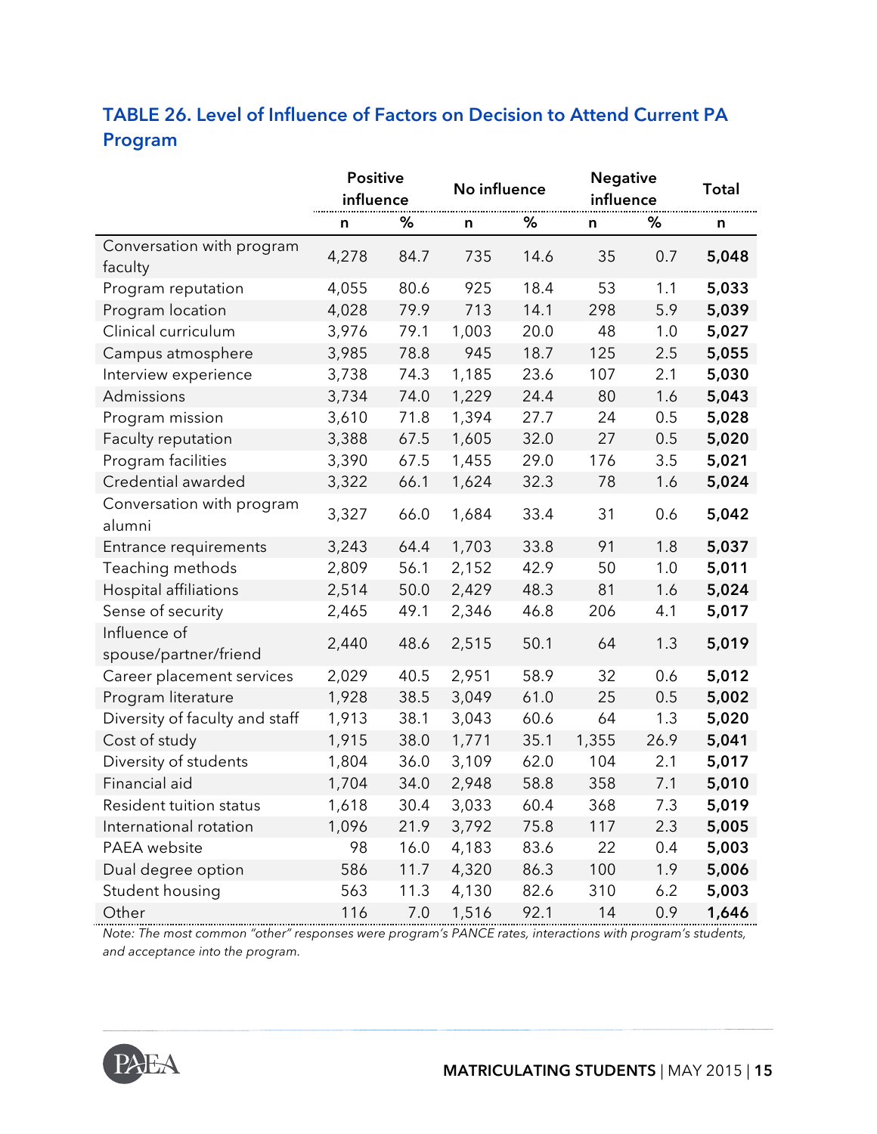### **TABLE 26. Level of Influence of Factors on Decision to Attend Current PA Program**

|                                       | <b>Positive</b><br>influence |      | No influence |      | <b>Negative</b><br>influence |      | <b>Total</b> |
|---------------------------------------|------------------------------|------|--------------|------|------------------------------|------|--------------|
|                                       | n                            | %    | n            | %    | n                            | %    | n            |
| Conversation with program<br>faculty  | 4,278                        | 84.7 | 735          | 14.6 | 35                           | 0.7  | 5,048        |
| Program reputation                    | 4,055                        | 80.6 | 925          | 18.4 | 53                           | 1.1  | 5,033        |
| Program location                      | 4,028                        | 79.9 | 713          | 14.1 | 298                          | 5.9  | 5,039        |
| Clinical curriculum                   | 3,976                        | 79.1 | 1,003        | 20.0 | 48                           | 1.0  | 5,027        |
| Campus atmosphere                     | 3,985                        | 78.8 | 945          | 18.7 | 125                          | 2.5  | 5,055        |
| Interview experience                  | 3,738                        | 74.3 | 1,185        | 23.6 | 107                          | 2.1  | 5,030        |
| Admissions                            | 3,734                        | 74.0 | 1,229        | 24.4 | 80                           | 1.6  | 5,043        |
| Program mission                       | 3,610                        | 71.8 | 1,394        | 27.7 | 24                           | 0.5  | 5,028        |
| Faculty reputation                    | 3,388                        | 67.5 | 1,605        | 32.0 | 27                           | 0.5  | 5,020        |
| Program facilities                    | 3,390                        | 67.5 | 1,455        | 29.0 | 176                          | 3.5  | 5,021        |
| Credential awarded                    | 3,322                        | 66.1 | 1,624        | 32.3 | 78                           | 1.6  | 5,024        |
| Conversation with program<br>alumni   | 3,327                        | 66.0 | 1,684        | 33.4 | 31                           | 0.6  | 5,042        |
| Entrance requirements                 | 3,243                        | 64.4 | 1,703        | 33.8 | 91                           | 1.8  | 5,037        |
| Teaching methods                      | 2,809                        | 56.1 | 2,152        | 42.9 | 50                           | 1.0  | 5,011        |
| Hospital affiliations                 | 2,514                        | 50.0 | 2,429        | 48.3 | 81                           | 1.6  | 5,024        |
| Sense of security                     | 2,465                        | 49.1 | 2,346        | 46.8 | 206                          | 4.1  | 5,017        |
| Influence of<br>spouse/partner/friend | 2,440                        | 48.6 | 2,515        | 50.1 | 64                           | 1.3  | 5,019        |
| Career placement services             | 2,029                        | 40.5 | 2,951        | 58.9 | 32                           | 0.6  | 5,012        |
| Program literature                    | 1,928                        | 38.5 | 3,049        | 61.0 | 25                           | 0.5  | 5,002        |
| Diversity of faculty and staff        | 1,913                        | 38.1 | 3,043        | 60.6 | 64                           | 1.3  | 5,020        |
| Cost of study                         | 1,915                        | 38.0 | 1,771        | 35.1 | 1,355                        | 26.9 | 5,041        |
| Diversity of students                 | 1,804                        | 36.0 | 3,109        | 62.0 | 104                          | 2.1  | 5,017        |
| Financial aid                         | 1,704                        | 34.0 | 2,948        | 58.8 | 358                          | 7.1  | 5,010        |
| Resident tuition status               | 1,618                        | 30.4 | 3,033        | 60.4 | 368                          | 7.3  | 5,019        |
| International rotation                | 1,096                        | 21.9 | 3,792        | 75.8 | 117                          | 2.3  | 5,005        |
| PAEA website                          | 98                           | 16.0 | 4,183        | 83.6 | 22                           | 0.4  | 5,003        |
| Dual degree option                    | 586                          | 11.7 | 4,320        | 86.3 | 100                          | 1.9  | 5,006        |
| Student housing                       | 563                          | 11.3 | 4,130        | 82.6 | 310                          | 6.2  | 5,003        |
| Other                                 | 116                          | 7.0  | 1,516        | 92.1 | 14                           | 0.9  | 1,646        |

*Note: The most common "other" responses were program's PANCE rates, interactions with program's students, and acceptance into the program.*

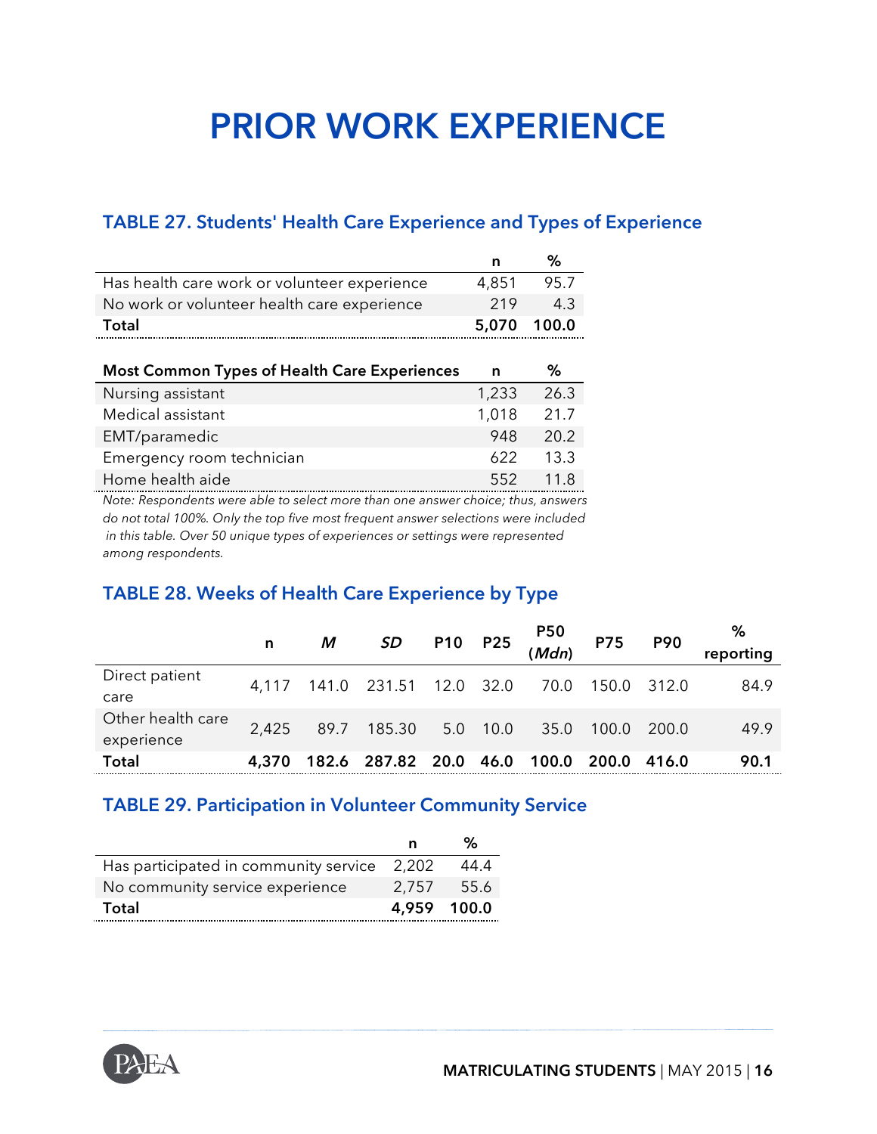## **PRIOR WORK EXPERIENCE**

#### **TABLE 27. Students' Health Care Experience and Types of Experience**

|                                              | n           | ℅    |
|----------------------------------------------|-------------|------|
| Has health care work or volunteer experience | 4.851       | 95.7 |
| No work or volunteer health care experience  | 219         | 43   |
| Total                                        | 5.070 100.0 |      |

| <b>Most Common Types of Health Care Experiences</b> | n     | ℅    |
|-----------------------------------------------------|-------|------|
| Nursing assistant                                   | 1,233 | 26.3 |
| Medical assistant                                   | 1,018 | 21.7 |
| EMT/paramedic                                       | 948   | 20.2 |
| Emergency room technician                           | 622   | 13.3 |
| Home health aide                                    | 552   | 11.8 |

*Note: Respondents were able to select more than one answer choice; thus, answers do not total 100%. Only the top five most frequent answer selections were included in this table. Over 50 unique types of experiences or settings were represented among respondents.*

#### **TABLE 28. Weeks of Health Care Experience by Type**

|                   | n     | M | <b>SD</b>                                |  | P10 P25 P50 P75  |       | <b>P90</b> | %<br>reporting |
|-------------------|-------|---|------------------------------------------|--|------------------|-------|------------|----------------|
| Direct patient    |       |   | 4,117 141.0 231.51 12.0 32.0             |  | 70.0 150.0 312.0 |       |            | 84.9           |
| care              |       |   |                                          |  |                  |       |            |                |
| Other health care | 2.425 |   | 89.7 185.30 5.0 10.0                     |  | 35.0             | 100.0 | 200.0      | 49.9           |
| experience        |       |   |                                          |  |                  |       |            |                |
| <b>Total</b>      | 4.370 |   | 182.6 287.82 20.0 46.0 100.0 200.0 416.0 |  |                  |       |            | 90.1           |

#### **TABLE 29. Participation in Volunteer Community Service**

|                                             | n           | %      |
|---------------------------------------------|-------------|--------|
| Has participated in community service 2,202 |             | 44.4   |
| No community service experience             | 2,757       | - 55.6 |
| Total                                       | 4.959 100.0 |        |

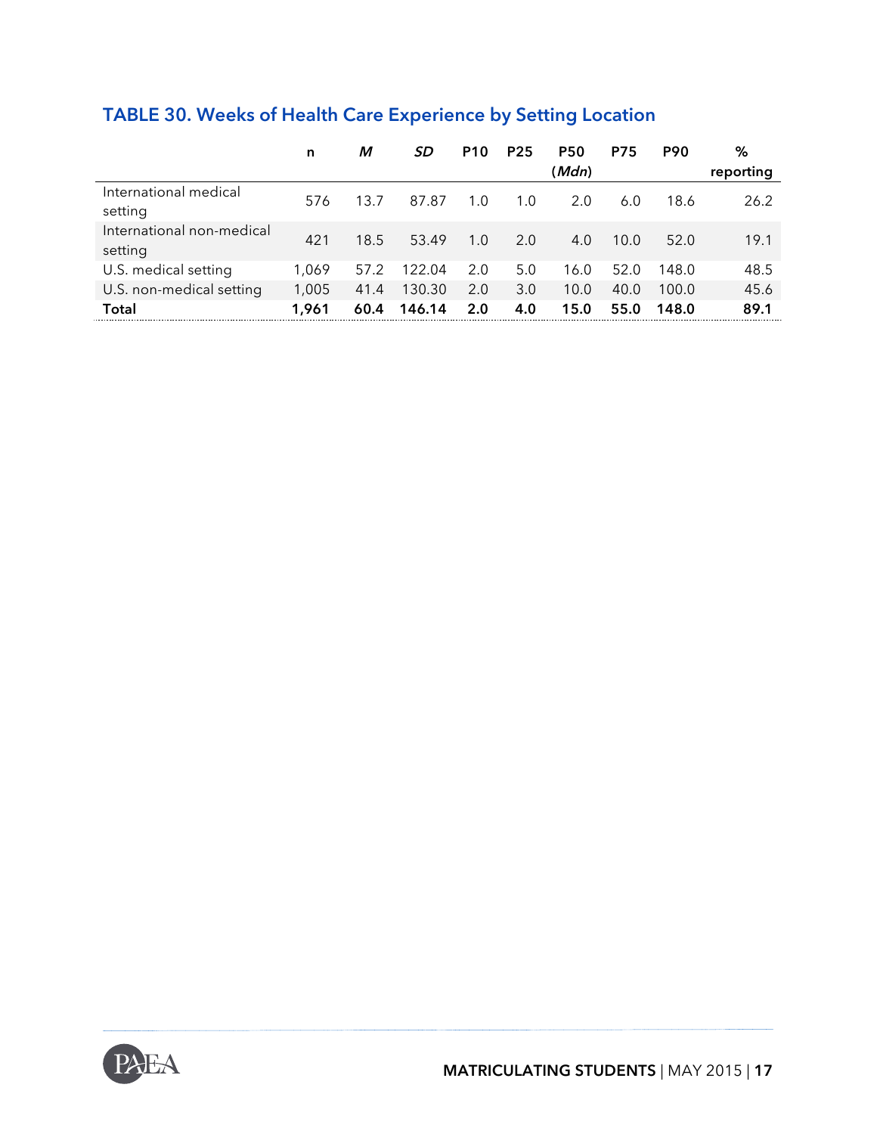### **TABLE 30. Weeks of Health Care Experience by Setting Location**

|                                      | n     | М    | SD     | <b>P10</b> | <b>P25</b> | <b>P50</b> | <b>P75</b> | <b>P90</b> | %         |
|--------------------------------------|-------|------|--------|------------|------------|------------|------------|------------|-----------|
|                                      |       |      |        |            |            | (Mdn)      |            |            | reporting |
| International medical<br>setting     | 576   | 13.7 | 87.87  | 1.0        | 1.0        | 2.0        | 6.0        | 18.6       | 26.2      |
| International non-medical<br>setting | 421   | 18.5 | 53.49  | 1.0        | 2.0        | 4.0        | 10.0       | 52.0       | 19.1      |
| U.S. medical setting                 | 1.069 | 57.2 | 122.04 | 2.0        | 5.0        | 16.0       | 52.0       | 148.0      | 48.5      |
| U.S. non-medical setting             | 1,005 | 41.4 | 130.30 | 2.0        | 3.0        | 10.0       | 40.0       | 100.0      | 45.6      |
| Total                                | 1.961 | 60.4 | 146.14 | 2.0        | 4.0        | 15.0       | 55.0       | 148.0      | 89.1      |

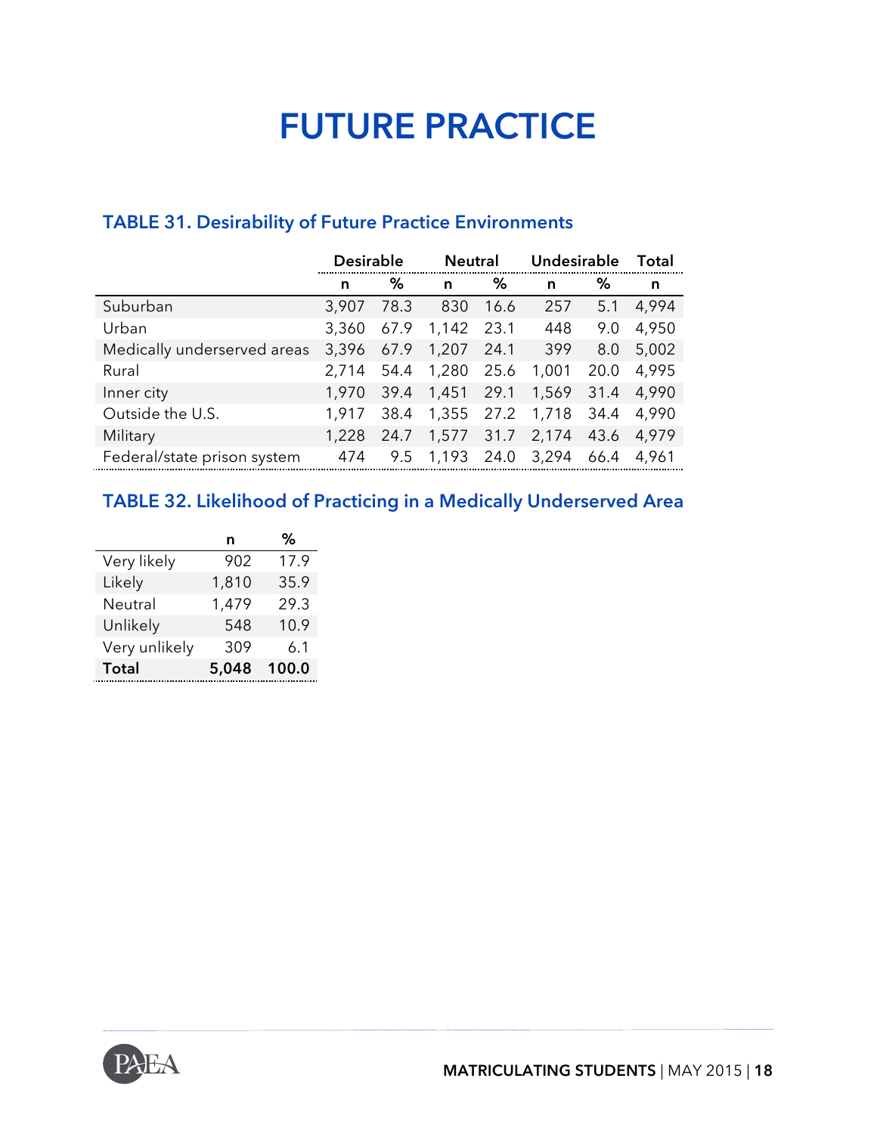## **FUTURE PRACTICE**

#### **TABLE 31. Desirability of Future Practice Environments**

|                             | <b>Desirable</b> |      |                  | <b>Neutral</b> |       | Undesirable |       |
|-----------------------------|------------------|------|------------------|----------------|-------|-------------|-------|
|                             | n                | ℅    | n                | %              | n     | ℅           | n     |
| Suburban                    | 3,907            | 78.3 | 830              | 16.6           | 257   | 5.1         | 4,994 |
| Urban                       | 3,360            |      | 67.9 1,142 23.1  |                | 448   | 9.0         | 4,950 |
| Medically underserved areas | 3,396            | 67.9 | 1,207            | -24.1          | 399   | 8.0         | 5,002 |
| Rural                       | 2,714            | 54.4 | 1,280            | 25.6           | 1,001 | 20.0        | 4,995 |
| Inner city                  | 1,970            | 39.4 | 1,451 29.1       |                | 1,569 | 31.4        | 4.990 |
| Outside the U.S.            | 1.917            | 38.4 | 1,355 27.2       |                | 1,718 | 34.4        | 4,990 |
| Military                    | 1,228            | 24.7 | 1,577            | 31.7           | 2,174 | 43.6        | 4,979 |
| Federal/state prison system | 474              | 9.5  | 1,193 24.0 3,294 |                |       | 66.4        | 4,961 |

### **TABLE 32. Likelihood of Practicing in a Medically Underserved Area**

|               | n     | %     |
|---------------|-------|-------|
| Very likely   | 902   | 17.9  |
| Likely        | 1,810 | 35.9  |
| Neutral       | 1,479 | 29.3  |
| Unlikely      | 548   | 10.9  |
| Very unlikely | 309   | 6.1   |
| <b>Total</b>  | 5,048 | 100.0 |

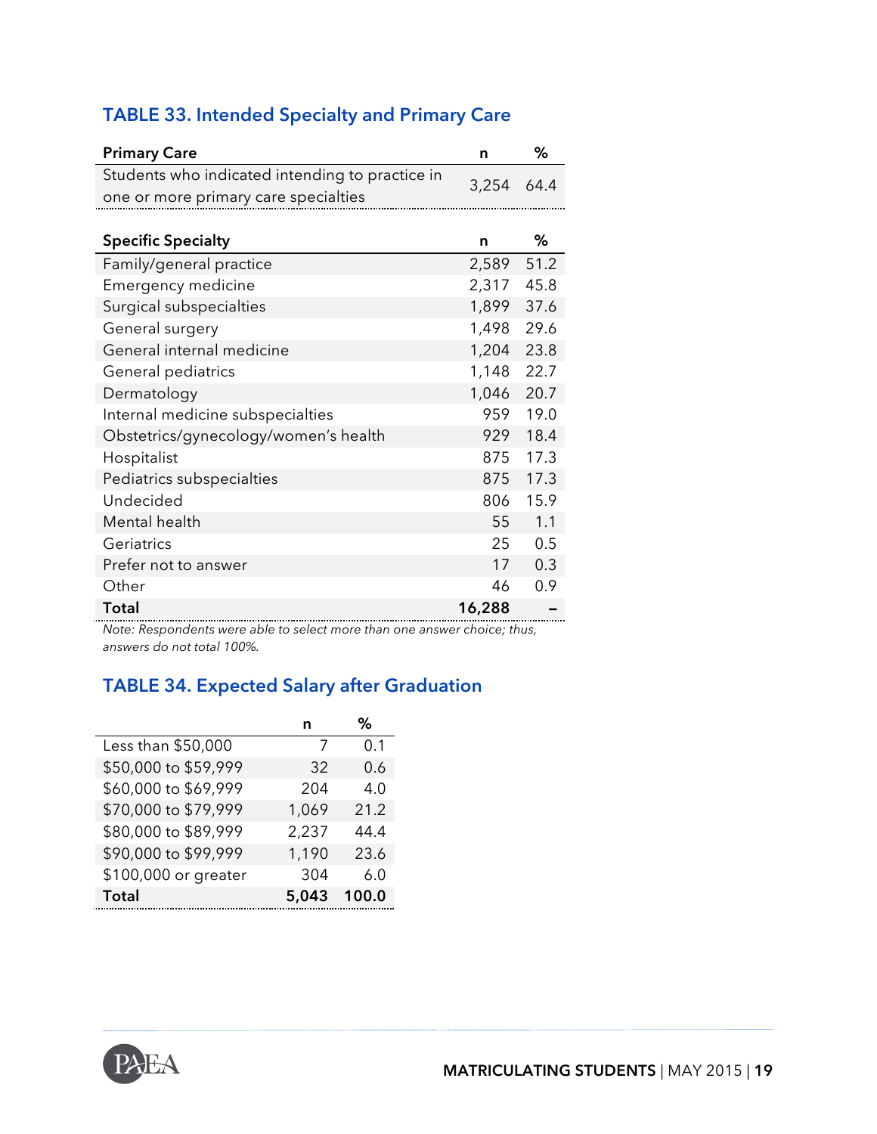| <b>TABLE 33. Intended Specialty and Primary Care</b> |  |  |  |
|------------------------------------------------------|--|--|--|
|------------------------------------------------------|--|--|--|

| <b>Primary Care</b>                             | n          | %    |
|-------------------------------------------------|------------|------|
| Students who indicated intending to practice in | 3,254      | 64.4 |
| one or more primary care specialties            |            |      |
|                                                 |            |      |
| <b>Specific Specialty</b>                       | n          | ℅    |
| Family/general practice                         | 2,589 51.2 |      |
| Emergency medicine                              | 2,317      | 45.8 |
| Surgical subspecialties                         | 1,899      | 37.6 |
| General surgery                                 | 1,498      | 29.6 |
| General internal medicine                       | 1,204      | 23.8 |
| General pediatrics                              | 1,148      | 22.7 |
| Dermatology                                     | 1,046      | 20.7 |
| Internal medicine subspecialties                | 959        | 19.0 |
| Obstetrics/gynecology/women's health            | 929        | 18.4 |
| Hospitalist                                     | 875        | 17.3 |
| Pediatrics subspecialties                       | 875        | 17.3 |
| Undecided                                       | 806        | 15.9 |
| Mental health                                   | 55         | 1.1  |
| Geriatrics                                      | 25         | 0.5  |
| Prefer not to answer                            | 17         | 0.3  |
| Other                                           | 46         | 0.9  |
| <b>Total</b>                                    | 16,288     |      |

*Note: Respondents were able to select more than one answer choice; thus, answers do not total 100%.*

### **TABLE 34. Expected Salary after Graduation**

|                      | n     | ℅     |
|----------------------|-------|-------|
| Less than \$50,000   | 7     | 0.1   |
| \$50,000 to \$59,999 | 32    | 0.6   |
| \$60,000 to \$69,999 | 204   | 4.0   |
| \$70,000 to \$79,999 | 1,069 | 21.2  |
| \$80,000 to \$89,999 | 2,237 | 44.4  |
| \$90,000 to \$99,999 | 1,190 | 23.6  |
| \$100,000 or greater | 304   | 6.0   |
| Total                | 5,043 | 100.0 |

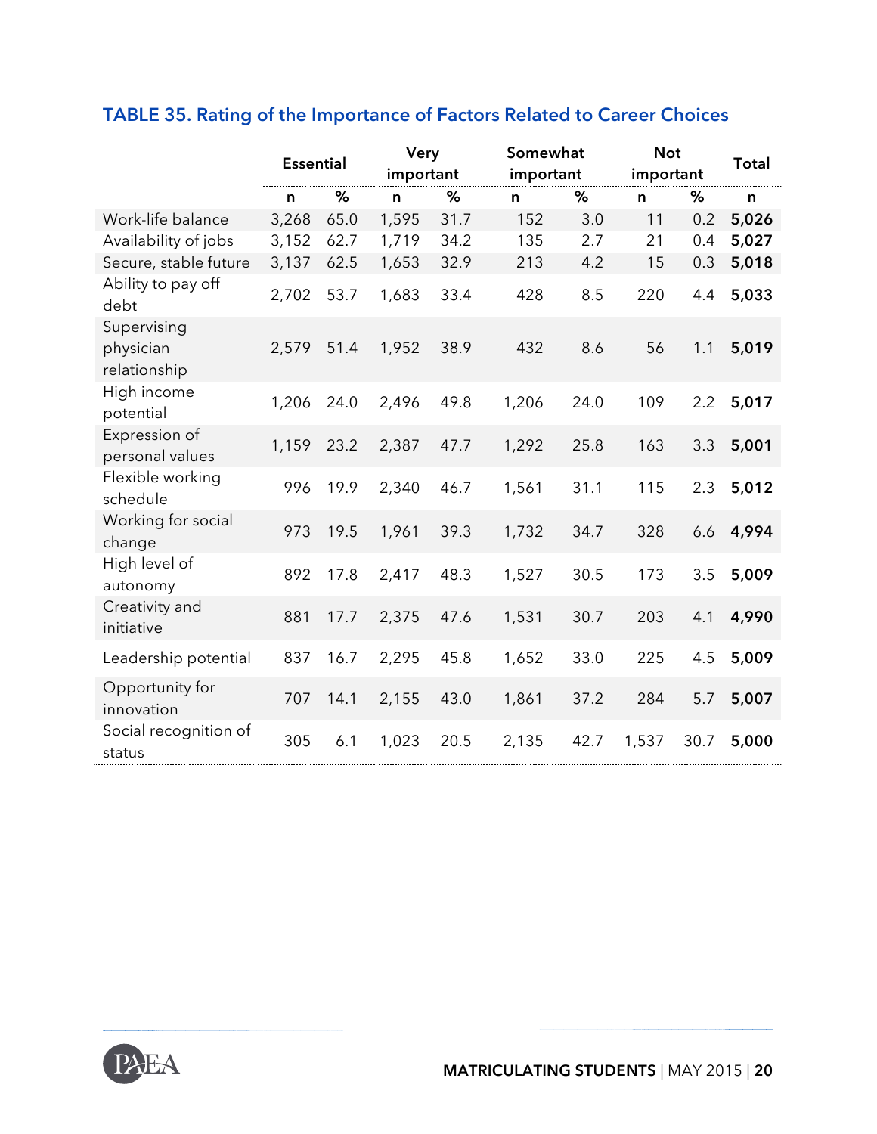|                                          | <b>Essential</b> |      | Very<br>important |      | Somewhat<br>important |      | <b>Not</b><br>important |      | <b>Total</b> |
|------------------------------------------|------------------|------|-------------------|------|-----------------------|------|-------------------------|------|--------------|
|                                          | n                | %    | n                 | %    | $\mathsf{n}$          | %    | $\mathsf{n}$            | %    | n            |
| Work-life balance                        | 3,268            | 65.0 | 1,595             | 31.7 | 152                   | 3.0  | 11                      | 0.2  | 5,026        |
| Availability of jobs                     | 3,152            | 62.7 | 1,719             | 34.2 | 135                   | 2.7  | 21                      | 0.4  | 5,027        |
| Secure, stable future                    | 3,137            | 62.5 | 1,653             | 32.9 | 213                   | 4.2  | 15                      | 0.3  | 5,018        |
| Ability to pay off<br>debt               | 2,702            | 53.7 | 1,683             | 33.4 | 428                   | 8.5  | 220                     | 4.4  | 5,033        |
| Supervising<br>physician<br>relationship | 2,579            | 51.4 | 1,952             | 38.9 | 432                   | 8.6  | 56                      | 1.1  | 5,019        |
| High income<br>potential                 | 1,206            | 24.0 | 2,496             | 49.8 | 1,206                 | 24.0 | 109                     | 2.2  | 5,017        |
| Expression of<br>personal values         | 1,159            | 23.2 | 2,387             | 47.7 | 1,292                 | 25.8 | 163                     | 3.3  | 5,001        |
| Flexible working<br>schedule             | 996              | 19.9 | 2,340             | 46.7 | 1,561                 | 31.1 | 115                     | 2.3  | 5,012        |
| Working for social<br>change             | 973              | 19.5 | 1,961             | 39.3 | 1,732                 | 34.7 | 328                     | 6.6  | 4,994        |
| High level of<br>autonomy                | 892              | 17.8 | 2,417             | 48.3 | 1,527                 | 30.5 | 173                     | 3.5  | 5,009        |
| Creativity and<br>initiative             | 881              | 17.7 | 2,375             | 47.6 | 1,531                 | 30.7 | 203                     | 4.1  | 4,990        |
| Leadership potential                     | 837              | 16.7 | 2,295             | 45.8 | 1,652                 | 33.0 | 225                     | 4.5  | 5,009        |
| Opportunity for<br>innovation            | 707              | 14.1 | 2,155             | 43.0 | 1,861                 | 37.2 | 284                     | 5.7  | 5,007        |
| Social recognition of<br>status          | 305              | 6.1  | 1,023             | 20.5 | 2,135                 | 42.7 | 1,537                   | 30.7 | 5,000        |

### **TABLE 35. Rating of the Importance of Factors Related to Career Choices**

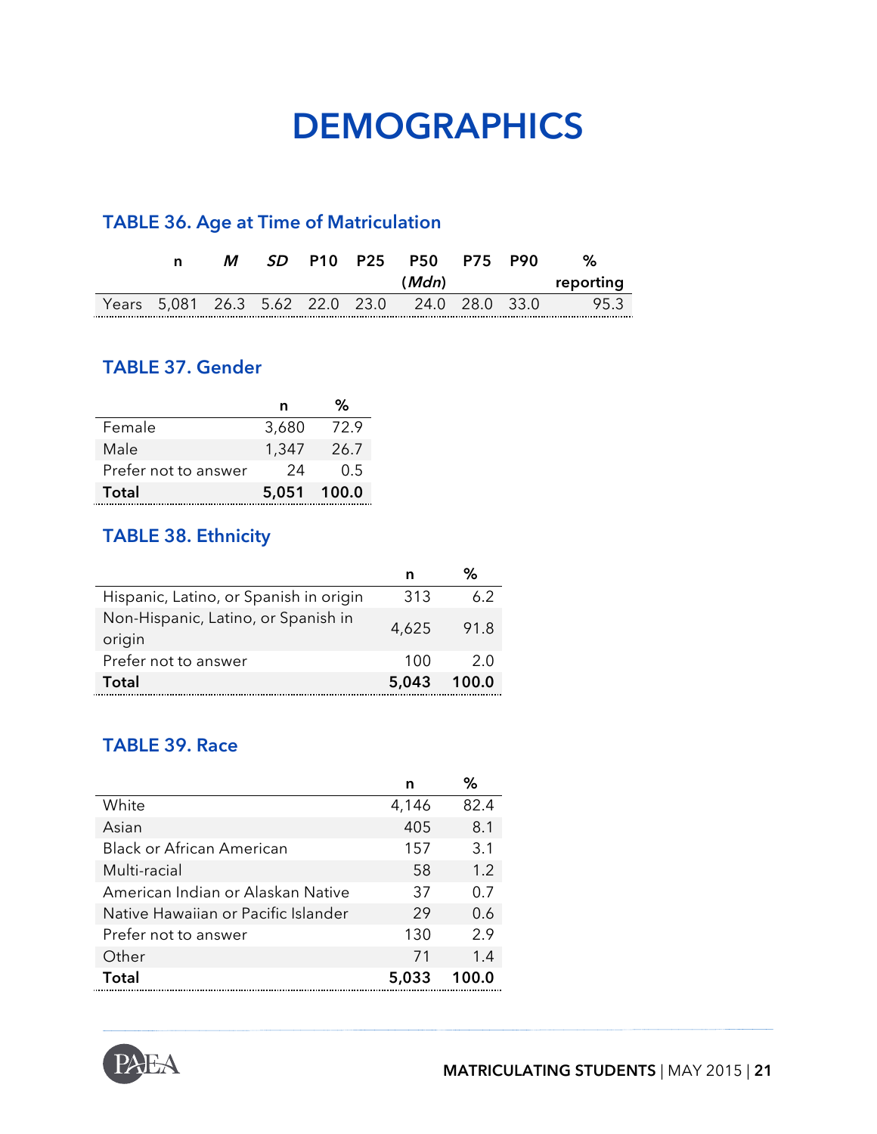## **DEMOGRAPHICS**

### **TABLE 36. Age at Time of Matriculation**

| n | М |  | SD P10 P25 P50 P75 P90                         |  | %         |
|---|---|--|------------------------------------------------|--|-----------|
|   |   |  | (Mdn)                                          |  | reporting |
|   |   |  | Years 5,081 26.3 5.62 22.0 23.0 24.0 28.0 33.0 |  | 95.3      |

#### **TABLE 37. Gender**

|                      | n           | ℅    |
|----------------------|-------------|------|
| Female               | 3,680       | 72.9 |
| Male                 | 1,347       | 26.7 |
| Prefer not to answer | 24          | 0.5  |
| Total                | 5,051 100.0 |      |

#### **TABLE 38. Ethnicity**

|                                               |       | %     |
|-----------------------------------------------|-------|-------|
| Hispanic, Latino, or Spanish in origin        | 313   | 6.2   |
| Non-Hispanic, Latino, or Spanish in<br>origin | 4,625 | 91.8  |
| Prefer not to answer                          | 100   | 2.O   |
| Total                                         | 5,043 | 100.0 |

#### **TABLE 39. Race**

|                                     | n     | ℅     |
|-------------------------------------|-------|-------|
| White                               | 4,146 | 82.4  |
| Asian                               | 405   | 8.1   |
| <b>Black or African American</b>    | 157   | 3.1   |
| Multi-racial                        | 58    | 1.2   |
| American Indian or Alaskan Native   | 37    | 0.7   |
| Native Hawaiian or Pacific Islander | 29    | 0.6   |
| Prefer not to answer                | 130   | 2.9   |
| Other                               | 71    | 1.4   |
| Total                               | 5,033 | 100.0 |

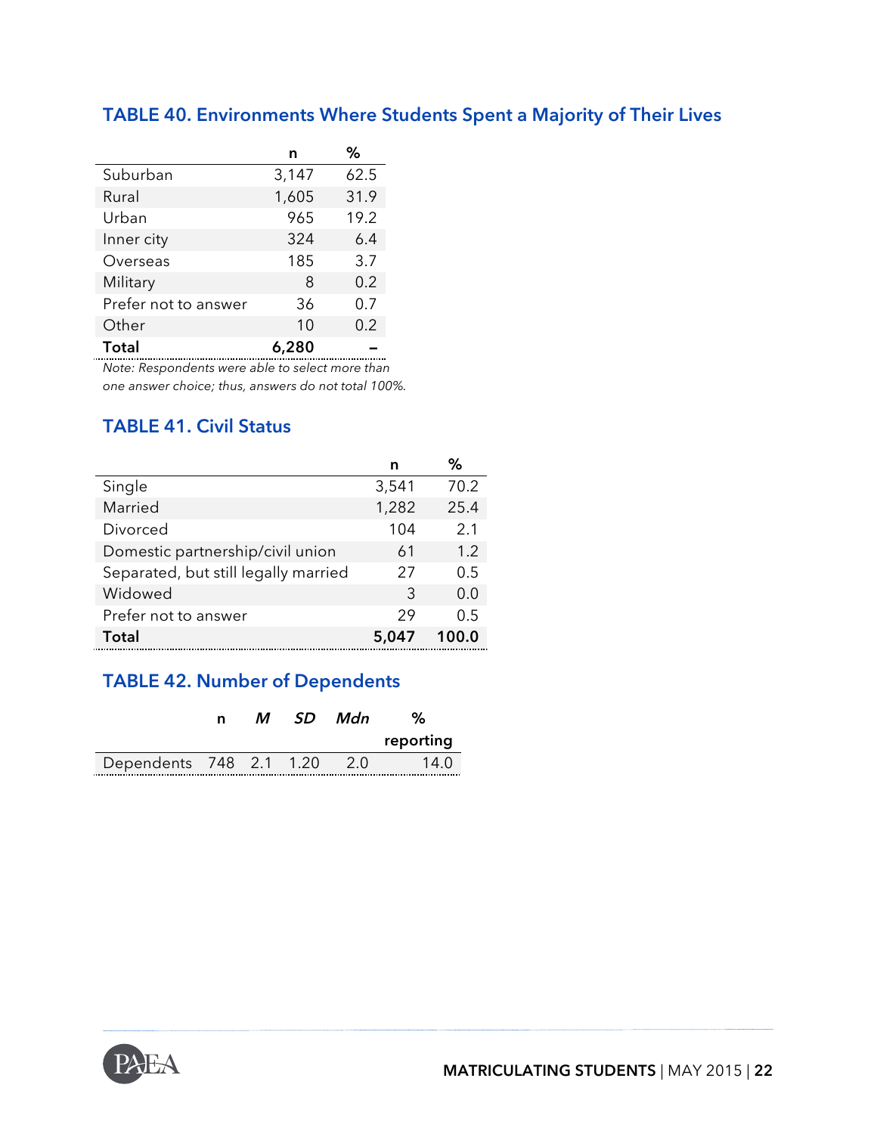|                      | n     | %    |
|----------------------|-------|------|
| Suburban             | 3,147 | 62.5 |
| Rural                | 1,605 | 31.9 |
| Urban                | 965   | 19.2 |
| Inner city           | 324   | 6.4  |
| Overseas             | 185   | 3.7  |
| Military             | 8     | 0.2  |
| Prefer not to answer | 36    | 0.7  |
| Other                | 10    | 0.2  |
| <b>Total</b>         | 6,280 |      |

### **TABLE 40. Environments Where Students Spent a Majority of Their Lives**

*Note: Respondents were able to select more than one answer choice; thus, answers do not total 100%.* 

#### **TABLE 41. Civil Status**

|                                      | n     | ℅     |
|--------------------------------------|-------|-------|
| Single                               | 3,541 | 70.2  |
| Married                              | 1,282 | 25.4  |
| Divorced                             | 104   | 2.1   |
| Domestic partnership/civil union     | 61    | 1.2   |
| Separated, but still legally married | 27    | 0.5   |
| Widowed                              | 3     | 0.0   |
| Prefer not to answer                 | 29    | 0.5   |
| Total                                | 5,047 | 100.0 |

### **TABLE 42. Number of Dependents**

|                         | n | М | SD Mdn     |           |
|-------------------------|---|---|------------|-----------|
|                         |   |   |            | reporting |
| Dependents 748 2.1 1.20 |   |   | $\sim$ 2.0 | 14 O      |

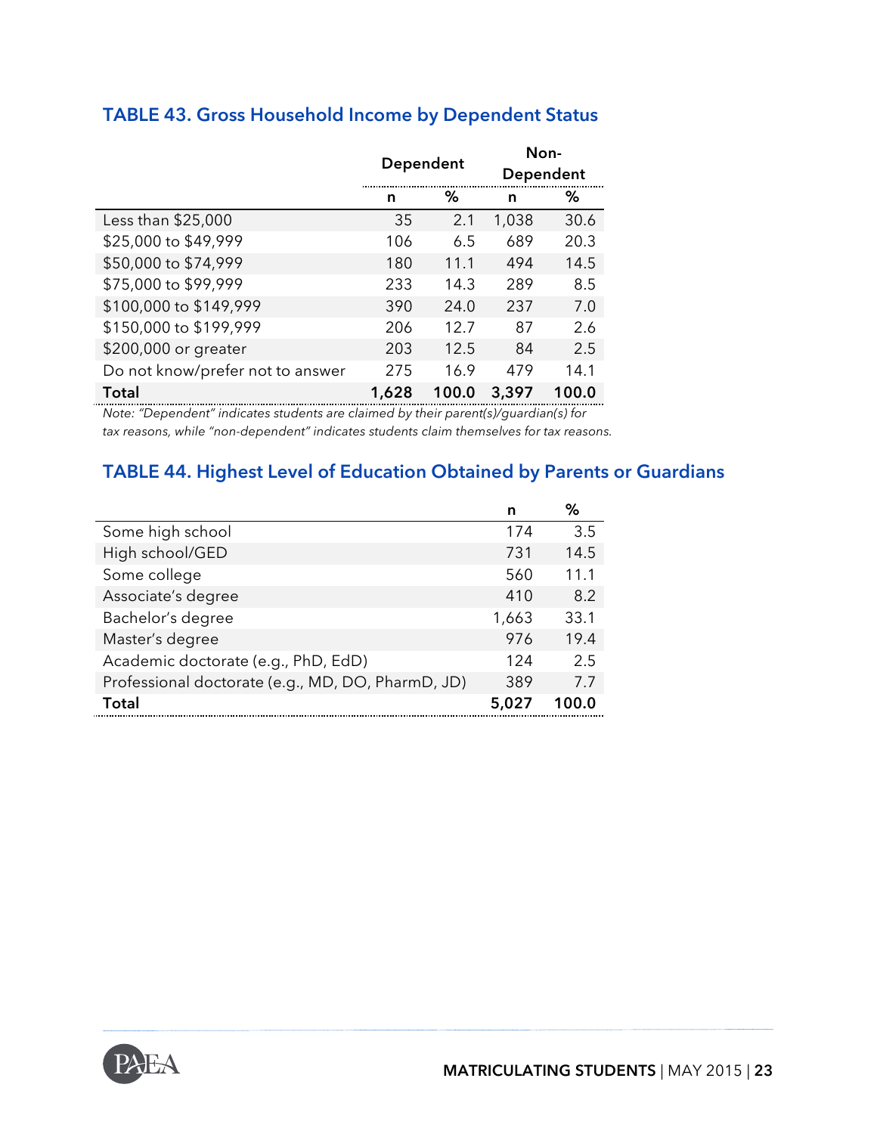|                                  | Dependent |       |       | Non-<br>Dependent |
|----------------------------------|-----------|-------|-------|-------------------|
|                                  | n         | ℅     | n     | ℅                 |
| Less than \$25,000               | 35        | 2.1   | 1,038 | 30.6              |
| \$25,000 to \$49,999             | 106       | 6.5   | 689   | 20.3              |
| \$50,000 to \$74,999             | 180       | 11.1  | 494   | 14.5              |
| \$75,000 to \$99,999             | 233       | 14.3  | 289   | 8.5               |
| \$100,000 to \$149,999           | 390       | 24.0  | 237   | 7.0               |
| \$150,000 to \$199,999           | 206       | 12.7  | 87    | 2.6               |
| \$200,000 or greater             | 203       | 12.5  | 84    | 2.5               |
| Do not know/prefer not to answer | 275       | 16.9  | 479   | 14.1              |
| Total                            | 1,628     | 100.0 | 3,397 | 100.0             |

### **TABLE 43. Gross Household Income by Dependent Status**

*Note: "Dependent" indicates students are claimed by their parent(s)/guardian(s) for tax reasons, while "non-dependent" indicates students claim themselves for tax reasons.*

#### **TABLE 44. Highest Level of Education Obtained by Parents or Guardians**

|                                                   | n     | %     |
|---------------------------------------------------|-------|-------|
| Some high school                                  | 174   | 3.5   |
| High school/GED                                   | 731   | 14.5  |
| Some college                                      | 560   | 11.1  |
| Associate's degree                                | 410   | 8.2   |
| Bachelor's degree                                 | 1,663 | 33.1  |
| Master's degree                                   | 976   | 19.4  |
| Academic doctorate (e.g., PhD, EdD)               | 124   | 2.5   |
| Professional doctorate (e.g., MD, DO, PharmD, JD) | 389   | 7.7   |
| Total                                             | 5,027 | 1በበ በ |

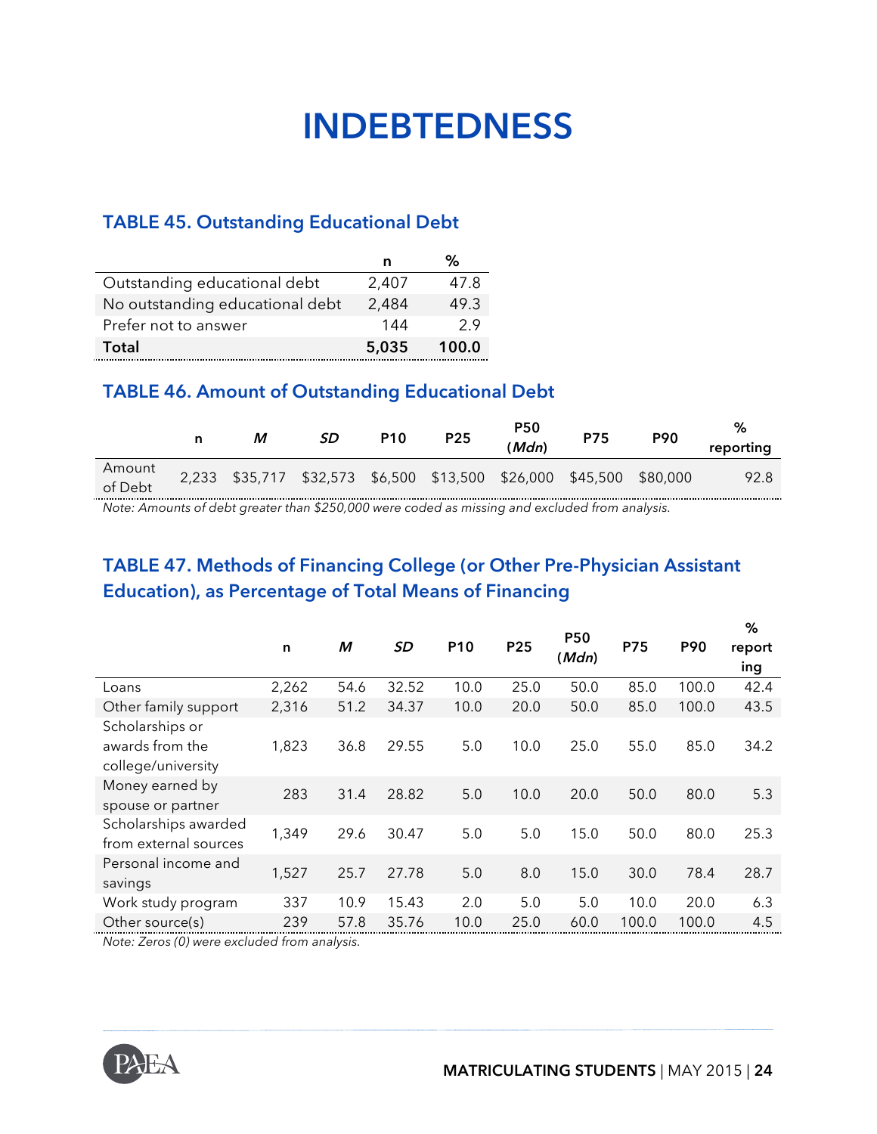## **INDEBTEDNESS**

#### **TABLE 45. Outstanding Educational Debt**

|                                 |       | %     |
|---------------------------------|-------|-------|
| Outstanding educational debt    | 2,407 | 47.8  |
| No outstanding educational debt | 2,484 | 49.3  |
| Prefer not to answer            | 144   | 29    |
| Total                           | 5,035 | 100.0 |

#### **TABLE 46. Amount of Outstanding Educational Debt**

|                   |                                                                     | SD. | <b>P10</b> | <b>P25</b> | <b>P50</b><br>(Mdn) | <b>P75</b> | <b>P90</b> | %<br>reporting |
|-------------------|---------------------------------------------------------------------|-----|------------|------------|---------------------|------------|------------|----------------|
| Amount<br>of Debt | 2,233 \$35,717 \$32,573 \$6,500 \$13,500 \$26,000 \$45,500 \$80,000 |     |            |            |                     |            |            | 92.8           |

*Note: Amounts of debt greater than \$250,000 were coded as missing and excluded from analysis.*

#### **TABLE 47. Methods of Financing College (or Other Pre-Physician Assistant Education), as Percentage of Total Means of Financing**

|                       |       |      |           |                 |      |                     |            |       | %             |
|-----------------------|-------|------|-----------|-----------------|------|---------------------|------------|-------|---------------|
|                       | n     | M    | <b>SD</b> | P <sub>10</sub> | P25  | <b>P50</b><br>(Mdn) | <b>P75</b> | P90   | report<br>ing |
|                       |       |      |           |                 |      |                     |            |       |               |
| Loans                 | 2,262 | 54.6 | 32.52     | 10.0            | 25.0 | 50.0                | 85.0       | 100.0 | 42.4          |
| Other family support  | 2,316 | 51.2 | 34.37     | 10.0            | 20.0 | 50.0                | 85.0       | 100.0 | 43.5          |
| Scholarships or       |       |      |           |                 |      |                     |            |       |               |
| awards from the       | 1,823 | 36.8 | 29.55     | 5.0             | 10.0 | 25.0                | 55.0       | 85.0  | 34.2          |
| college/university    |       |      |           |                 |      |                     |            |       |               |
| Money earned by       | 283   | 31.4 | 28.82     | 5.0             | 10.0 | 20.0                | 50.0       | 80.0  | 5.3           |
| spouse or partner     |       |      |           |                 |      |                     |            |       |               |
| Scholarships awarded  | 1,349 | 29.6 | 30.47     | 5.0             | 5.0  | 15.0                | 50.0       | 80.0  | 25.3          |
| from external sources |       |      |           |                 |      |                     |            |       |               |
| Personal income and   |       |      |           |                 |      |                     |            |       |               |
| savings               |       |      |           |                 |      |                     |            |       |               |
| Work study program    | 337   | 10.9 | 15.43     | 2.0             | 5.0  | 5.0                 | 10.0       | 20.0  | 6.3           |
| Other source(s)       | 239   | 57.8 | 35.76     | 10.0            | 25.0 | 60.0                | 100.0      | 100.0 | 4.5           |
|                       | 1,527 | 25.7 | 27.78     | 5.0             | 8.0  | 15.0                | 30.0       | 78.4  | 28.7          |

*Note: Zeros (0) were excluded from analysis.*

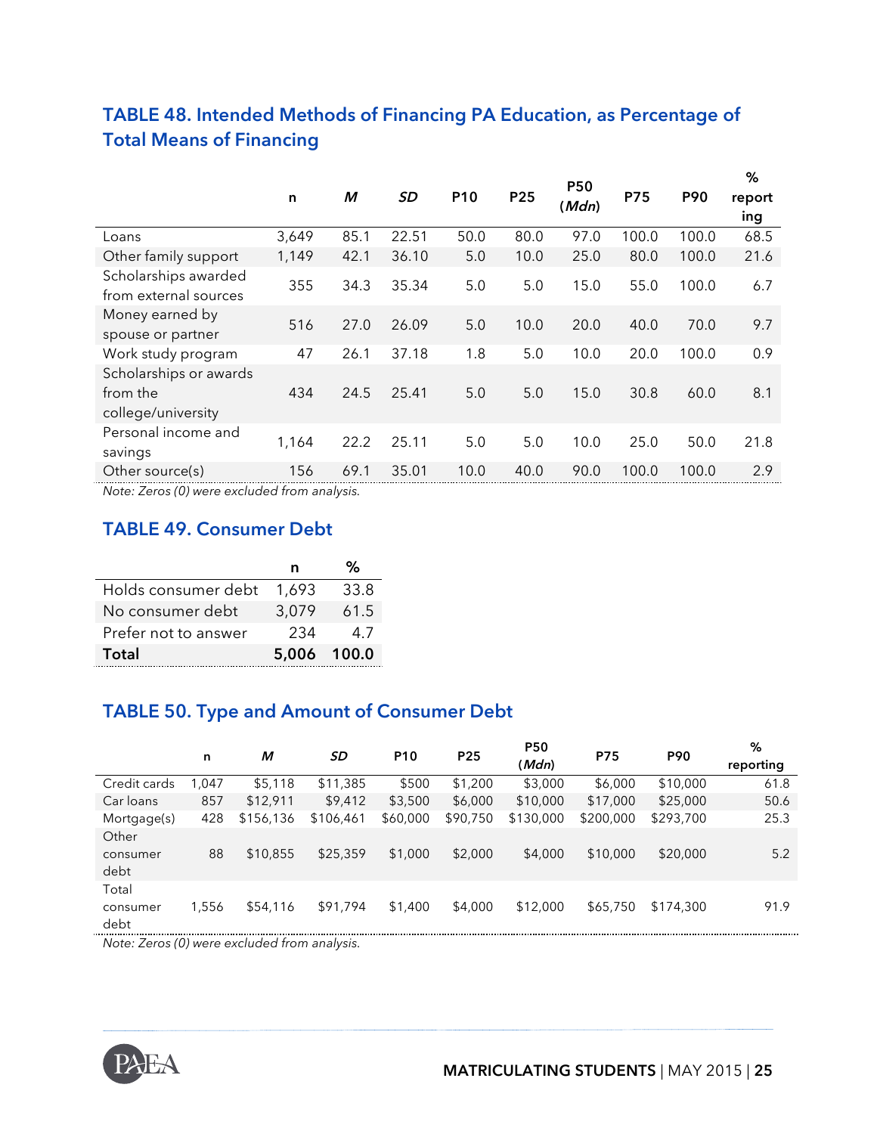|                                                          | n     | M    | <b>SD</b> | P <sub>10</sub> | P25  | <b>P50</b><br>(Mdn) | <b>P75</b> | P90   | %<br>report<br>ing |
|----------------------------------------------------------|-------|------|-----------|-----------------|------|---------------------|------------|-------|--------------------|
| Loans                                                    | 3,649 | 85.1 | 22.51     | 50.0            | 80.0 | 97.0                | 100.0      | 100.0 | 68.5               |
| Other family support                                     | 1,149 | 42.1 | 36.10     | 5.0             | 10.0 | 25.0                | 80.0       | 100.0 | 21.6               |
| Scholarships awarded<br>from external sources            | 355   | 34.3 | 35.34     | 5.0             | 5.0  | 15.0                | 55.0       | 100.0 | 6.7                |
| Money earned by<br>spouse or partner                     | 516   | 27.0 | 26.09     | 5.0             | 10.0 | 20.0                | 40.0       | 70.0  | 9.7                |
| Work study program                                       | 47    | 26.1 | 37.18     | 1.8             | 5.0  | 10.0                | 20.0       | 100.0 | 0.9                |
| Scholarships or awards<br>from the<br>college/university | 434   | 24.5 | 25.41     | 5.0             | 5.0  | 15.0                | 30.8       | 60.0  | 8.1                |
| Personal income and<br>savings                           | 1,164 | 22.2 | 25.11     | 5.0             | 5.0  | 10.0                | 25.0       | 50.0  | 21.8               |
| Other source(s)                                          | 156   | 69.1 | 35.01     | 10.0            | 40.0 | 90.0                | 100.0      | 100.0 | 2.9                |

#### **TABLE 48. Intended Methods of Financing PA Education, as Percentage of Total Means of Financing**

*Note: Zeros (0) were excluded from analysis.*

#### **TABLE 49. Consumer Debt**

|                      | n           |      |
|----------------------|-------------|------|
| Holds consumer debt  | 1.693       | 33.8 |
| No consumer debt     | 3,079       | 61.5 |
| Prefer not to answer | 234         | 47   |
| Total                | 5,006 100.0 |      |

#### **TABLE 50. Type and Amount of Consumer Debt**

|                  | n     | М         | SD        | P <sub>10</sub> | P <sub>25</sub> | <b>P50</b><br>(Mdn) | <b>P75</b> | <b>P90</b> | %<br>reporting |
|------------------|-------|-----------|-----------|-----------------|-----------------|---------------------|------------|------------|----------------|
| Credit cards     | .047  | \$5,118   | \$11,385  | \$500           | \$1,200         | \$3,000             | \$6,000    | \$10,000   | 61.8           |
| Car loans        | 857   | \$12,911  | \$9,412   | \$3,500         | \$6,000         | \$10,000            | \$17,000   | \$25,000   | 50.6           |
| Mortgage(s)      | 428   | \$156,136 | \$106,461 | \$60,000        | \$90,750        | \$130,000           | \$200,000  | \$293,700  | 25.3           |
| Other            |       |           |           |                 |                 |                     |            |            |                |
| consumer<br>debt | 88    | \$10,855  | \$25,359  | \$1,000         | \$2,000         | \$4,000             | \$10,000   | \$20,000   | 5.2            |
| Total            |       |           |           |                 |                 |                     |            |            |                |
| consumer<br>debt | 1,556 | \$54,116  | \$91,794  | \$1,400         | \$4,000         | \$12,000            | \$65,750   | \$174,300  | 91.9           |

*Note: Zeros (0) were excluded from analysis.*

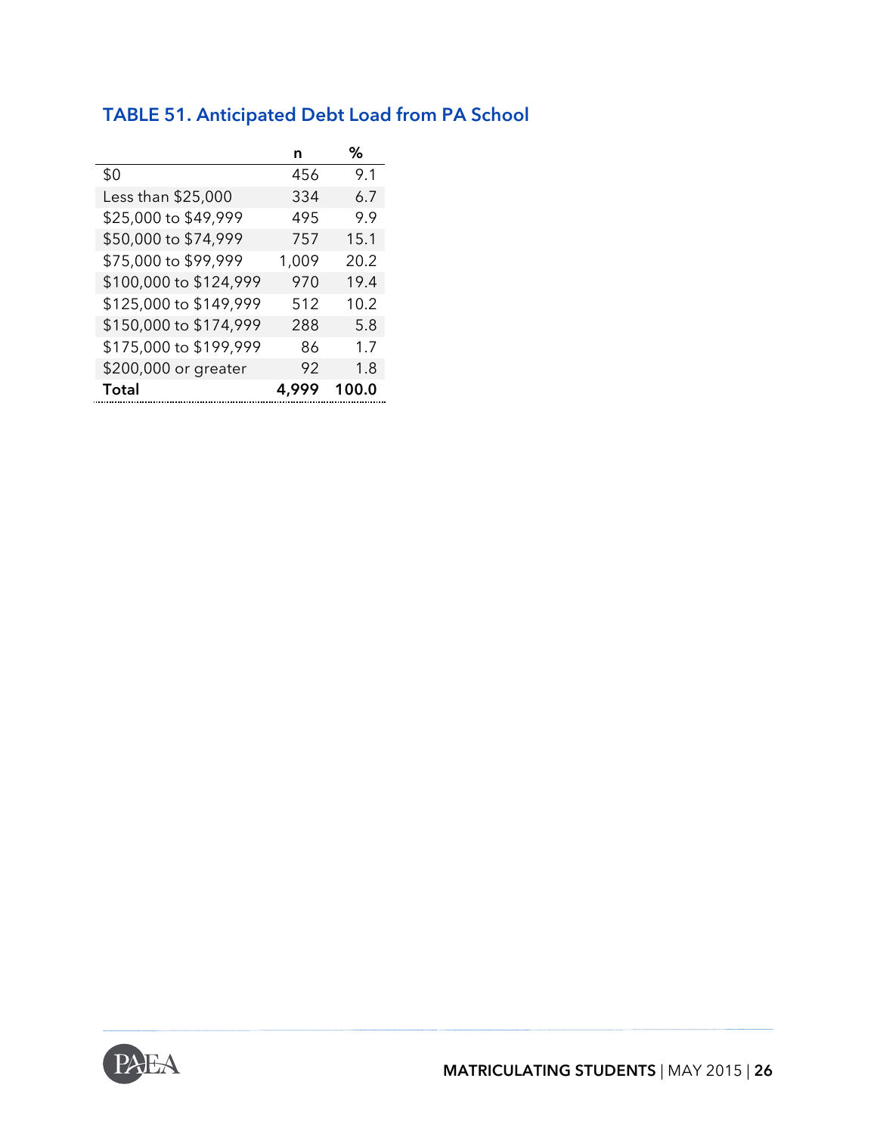### **TABLE 51. Anticipated Debt Load from PA School**

|                        | n     | ℅     |
|------------------------|-------|-------|
| \$0                    | 456   | 9.1   |
| Less than \$25,000     | 334   | 6.7   |
| \$25,000 to \$49,999   | 495   | 9.9   |
| \$50,000 to \$74,999   | 757   | 15.1  |
| \$75,000 to \$99,999   | 1,009 | 20.2  |
| \$100,000 to \$124,999 | 970   | 19.4  |
| \$125,000 to \$149,999 | 512   | 10.2  |
| \$150,000 to \$174,999 | 288   | 5.8   |
| \$175,000 to \$199,999 | 86    | 1.7   |
| \$200,000 or greater   | 92    | 1.8   |
| Total                  | 4.999 | 100.0 |